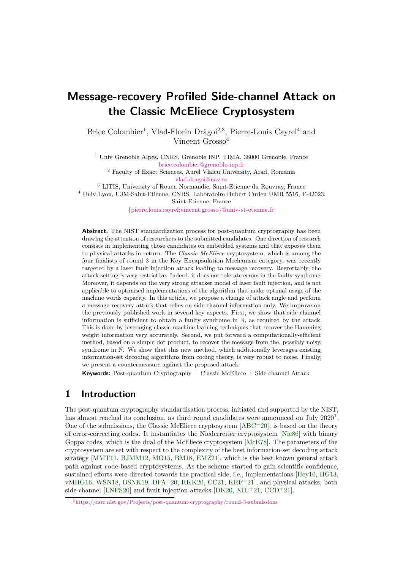# **Message-recovery Profiled Side-channel Attack on the Classic McEliece Cryptosystem**

Brice Colombier<sup>1</sup>, Vlad-Florin Drăgoi<sup>2,3</sup>, Pierre-Louis Cayrel<sup>4</sup> and Vincent Grosso<sup>4</sup>

<sup>1</sup> Univ Grenoble Alpes, CNRS, Grenoble INP, TIMA, 38000 Grenoble, France [brice.colombier@grenoble-inp.fr](mailto:brice.colombier@grenoble-inp.fr)

 $^{\rm 2}$  Faculty of Exact Sciences, Aurel Vlaicu University, Arad, Romania [vlad.dragoi@uav.ro](mailto:vlad.dragoi@uav.ro)

 $^3$  LITIS, University of Rouen Normandie, Saint-Etienne du Rouvray, France <sup>4</sup> Univ Lyon, UJM-Saint-Etienne, CNRS, Laboratoire Hubert Curien UMR 5516, F-42023,

Saint-Etienne, France

[{pierre.louis.cayrel;vincent.grosso}@univ-st-etienne.fr](mailto:{pierre.louis.cayrel; vincent.grosso}@univ-st-etienne.fr)

**Abstract.** The NIST standardization process for post-quantum cryptography has been drawing the attention of researchers to the submitted candidates. One direction of research consists in implementing those candidates on embedded systems and that exposes them to physical attacks in return. The *Classic McEliece* cryptosystem, which is among the four finalists of round 3 in the Key Encapsulation Mechanism category, was recently targeted by a laser fault injection attack leading to message recovery. Regrettably, the attack setting is very restrictive. Indeed, it does not tolerate errors in the faulty syndrome. Moreover, it depends on the very strong attacker model of laser fault injection, and is not applicable to optimised implementations of the algorithm that make optimal usage of the machine words capacity. In this article, we propose a change of attack angle and perform a message-recovery attack that relies on side-channel information only. We improve on the previously published work in several key aspects. First, we show that side-channel information is sufficient to obtain a faulty syndrome in N, as required by the attack. This is done by leveraging classic machine learning techniques that recover the Hamming weight information very accurately. Second, we put forward a computationally-efficient method, based on a simple dot product, to recover the message from the, possibly noisy, syndrome in N. We show that this new method, which additionally leverages existing information-set decoding algorithms from coding theory, is very robust to noise. Finally, we present a countermeasure against the proposed attack.

**Keywords:** Post-quantum Cryptography · Classic McEliece · Side-channel Attack

## **1 Introduction**

The post-quantum cryptography standardisation process, initiated and supported by the NIST, has almost reached its conclusion, as third round candidates were announced on July  $2020<sup>1</sup>$  $2020<sup>1</sup>$  $2020<sup>1</sup>$ . One of the submissions, the Classic McEliece cryptosystem  $[ABC^+20]$  $[ABC^+20]$ , is based on the theory of error-correcting codes. It instantiates the Niederreiter cryptosystem [\[Nie86\]](#page-22-0) with binary Goppa codes, which is the dual of the McEliece cryptosystem [\[McE78\]](#page-22-1). The parameters of the cryptosystem are set with respect to the complexity of the best information-set decoding attack strategy [\[MMT11,](#page-22-2) [BJMM12,](#page-20-1) [MO15,](#page-22-3) [BM18,](#page-20-2) [EMZ21\]](#page-21-0), which is the best known general attack path against code-based cryptosystems. As the scheme started to gain scientific confidence, sustained efforts were directed towards the practical side, i.e., implementations [\[Hey10,](#page-21-1) [HG13,](#page-21-2) [vMHG16,](#page-23-0) [WSN18,](#page-23-1) [BSNK19,](#page-20-3) [DFA](#page-21-3)<sup>+</sup>20, [RKK20,](#page-23-2) [CC21,](#page-20-4) [KRF](#page-22-4)<sup>+</sup>21], and physical attacks, both side-channel [\[LNPS20\]](#page-22-5) and fault injection attacks  $[DK20, XIU^+21, CCD^+21]$  $[DK20, XIU^+21, CCD^+21]$  $[DK20, XIU^+21, CCD^+21]$  $[DK20, XIU^+21, CCD^+21]$  $[DK20, XIU^+21, CCD^+21]$  $[DK20, XIU^+21, CCD^+21]$ .

<span id="page-0-0"></span><sup>1</sup><https://csrc.nist.gov/Projects/post-quantum-cryptography/round-3-submissions>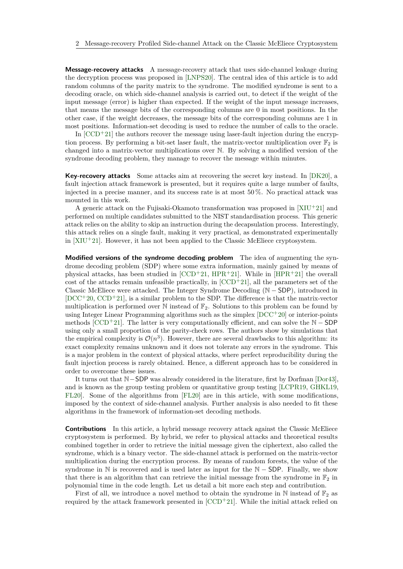**Message-recovery attacks** A message-recovery attack that uses side-channel leakage during the decryption process was proposed in [\[LNPS20\]](#page-22-5). The central idea of this article is to add random columns of the parity matrix to the syndrome. The modified syndrome is sent to a decoding oracle, on which side-channel analysis is carried out, to detect if the weight of the input message (error) is higher than expected. If the weight of the input message increases, that means the message bits of the corresponding columns are 0 in most positions. In the other case, if the weight decreases, the message bits of the corresponding columns are 1 in most positions. Information-set decoding is used to reduce the number of calls to the oracle.

In  $[CCD+21]$  $[CCD+21]$  the authors recover the message using laser-fault injection during the encryption process. By performing a bit-set laser fault, the matrix-vector multiplication over  $\mathbb{F}_2$  is changed into a matrix-vector multiplications over N. By solving a modified version of the syndrome decoding problem, they manage to recover the message within minutes.

**Key-recovery attacks** Some attacks aim at recovering the secret key instead. In [\[DK20\]](#page-21-4), a fault injection attack framework is presented, but it requires quite a large number of faults, injected in a precise manner, and its success rate is at most 50 %. No practical attack was mounted in this work.

A generic attack on the Fujisaki-Okamoto transformation was proposed in  $[XIU^+21]$  $[XIU^+21]$  and performed on multiple candidates submitted to the NIST standardisation process. This generic attack relies on the ability to skip an instruction during the decapsulation process. Interestingly, this attack relies on a single fault, making it very practical, as demonstrated experimentally in  $[XIU+21]$  $[XIU+21]$ . However, it has not been applied to the Classic McEliece cryptosystem.

**Modified versions of the syndrome decoding problem** The idea of augmenting the syndrome decoding problem (SDP) where some extra information, mainly gained by means of physical attacks, has been studied in  $[CCD+21, HPR+21]$  $[CCD+21, HPR+21]$  $[CCD+21, HPR+21]$  $[CCD+21, HPR+21]$ . While in  $[HPR+21]$  $[HPR+21]$  the overall cost of the attacks remain unfeasible practically, in  $[CCD+21]$  $[CCD+21]$ , all the parameters set of the Classic McEliece were attacked. The Integer Syndrome Decoding (N − SDP), introduced in [\[DCC](#page-21-6)<sup>+</sup>20, [CCD](#page-20-5)<sup>+</sup>21], is a similar problem to the SDP. The difference is that the matrix-vector multiplication is performed over  $\mathbb N$  instead of  $\mathbb F_2$ . Solutions to this problem can be found by using Integer Linear Programming algorithms such as the simplex  $[DCC+20]$  $[DCC+20]$  or interior-points methods [\[CCD](#page-20-5)+21]. The latter is very computationally efficient, and can solve the  $N - SDP$ using only a small proportion of the parity-check rows. The authors show by simulations that the empirical complexity is  $\mathcal{O}(n^3)$ . However, there are several drawbacks to this algorithm: its exact complexity remains unknown and it does not tolerate any errors in the syndrome. This is a major problem in the context of physical attacks, where perfect reproducibility during the fault injection process is rarely obtained. Hence, a different approach has to be considered in order to overcome these issues.

It turns out that N−SDP was already considered in the literature, first by Dorfman [\[Dor43\]](#page-21-7), and is known as the group testing problem or quantitative group testing [\[LCPR19,](#page-22-6) [GHKL19,](#page-21-8) [FL20\]](#page-21-9). Some of the algorithms from [\[FL20\]](#page-21-9) are in this article, with some modifications, imposed by the context of side-channel analysis. Further analysis is also needed to fit these algorithms in the framework of information-set decoding methods.

**Contributions** In this article, a hybrid message recovery attack against the Classic McEliece cryptosystem is performed. By hybrid, we refer to physical attacks and theoretical results combined together in order to retrieve the initial message given the ciphertext, also called the syndrome, which is a binary vector. The side-channel attack is performed on the matrix-vector multiplication during the encryption process. By means of random forests, the value of the syndrome in  $\mathbb N$  is recovered and is used later as input for the  $\mathbb N$  – SDP. Finally, we show that there is an algorithm that can retrieve the initial message from the syndrome in  $\mathbb{F}_2$  in polynomial time in the code length. Let us detail a bit more each step and contribution.

First of all, we introduce a novel method to obtain the syndrome in N instead of  $\mathbb{F}_2$  as required by the attack framework presented in  $[CCD+21]$  $[CCD+21]$ . While the initial attack relied on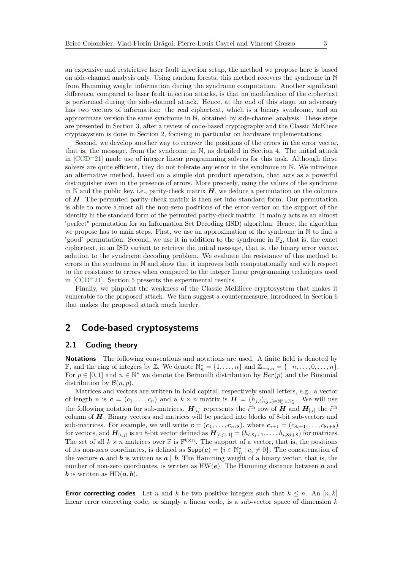an expensive and restrictive laser fault injection setup, the method we propose here is based on side-channel analysis only. Using random forests, this method recovers the syndrome in N from Hamming weight information during the syndrome computation. Another significant difference, compared to laser fault injection attacks, is that no modification of the ciphertext is performed during the side-channel attack. Hence, at the end of this stage, an adversary has two vectors of information: the real ciphertext, which is a binary syndrome, and an approximate version the same syndrome in N, obtained by side-channel analysis. These steps are presented in Section [3,](#page-5-0) after a review of code-based cryptography and the Classic McEliece cryptosystem is done in Section [2,](#page-2-0) focusing in particular on hardware implementations.

Second, we develop another way to recover the positions of the errors in the error vector, that is, the message, from the syndrome in N, as detailed in Section [4.](#page-10-0) The initial attack in  $[CCD+21]$  $[CCD+21]$  made use of integer linear programming solvers for this task. Although these solvers are quite efficient, they do not tolerate any error in the syndrome in N. We introduce an alternative method, based on a simple dot product operation, that acts as a powerful distinguisher even in the presence of errors. More precisely, using the values of the syndrome in  $\mathbb N$  and the public key, i.e., parity-check matrix  $H$ , we deduce a permutation on the columns of *H*. The permuted parity-check matrix is then set into standard form. Our permutation is able to move almost all the non-zero positions of the error-vector on the support of the identity in the standard form of the permuted parity-check matrix. It mainly acts as an almost "perfect" permutation for an Information Set Decoding (ISD) algorithm. Hence, the algorithm we propose has to main steps. First, we use an approximation of the syndrome in N to find a "good" permutation. Second, we use it in addition to the syndrome in  $\mathbb{F}_2$ , that is, the exact ciphertext, in an ISD variant to retrieve the initial message, that is, the binary error vector, solution to the syndrome decoding problem. We evaluate the resistance of this method to errors in the syndrome in N and show that it improves both computationally and with respect to the resistance to errors when compared to the integer linear programming techniques used in [\[CCD](#page-20-5)<sup>+</sup>21]. Section [5](#page-14-0) presents the experimental results.

Finally, we pinpoint the weakness of the Classic McEliece cryptosystem that makes it vulnerable to the proposed attack. We then suggest a countermeasure, introduced in Section [6](#page-18-0) that makes the proposed attack much harder.

## <span id="page-2-0"></span>**2 Code-based cryptosystems**

## **2.1 Coding theory**

**Notations** The following conventions and notations are used. A finite field is denoted by *F*, and the ring of integers by ℤ. We denote  $\mathbb{N}_n^* = \{1, \ldots, n\}$  and  $\mathbb{Z}_{-n,n} = \{-n, \ldots, 0, \ldots, n\}.$ For  $p \in [0,1]$  and  $n \in \mathbb{N}^*$  we denote the Bernoulli distribution by  $Ber(p)$  and the Binomial distribution by  $\mathcal{B}(n, p)$ .

Matrices and vectors are written in bold capital, respectively small letters, e.g., a vector of length *n* is  $c = (c_1, \ldots, c_n)$  and a  $k \times n$  matrix is  $H = (h_{j,i})_{(j,i) \in \mathbb{N}_k^* \times \mathbb{N}_n^*}$ . We will use the following notation for sub-matrices.  $H_{[i,j]}$  represents the *i*<sup>th</sup> row of *H* and  $H_{[i,j]}$  the *i*<sup>th</sup> column of *H*. Binary vectors and matrices will be packed into blocks of 8-bit sub-vectors and sub-matrices. For example, we will write  $\mathbf{c} = (\mathbf{c}_1, \ldots, \mathbf{c}_{n/8})$ , where  $\mathbf{c}_{i+1} = (c_{8i+1}, \ldots, c_{8i+8})$ for vectors, and  $H_{[i,j]}$  is an 8-bit vector defined as  $H_{[i,j+1]} = (h_{i,8j+1}, \ldots, h_{i,8j+8})$  for matrices. The set of all  $k \times n$  matrices over  $\mathbb F$  is  $\mathbb F^{k \times n}$ . The support of a vector, that is, the positions of its non-zero coordinates, is defined as  $\textsf{Supp}(e) = \{i \in \mathbb{N}_n^* \mid e_i \neq 0\}$ . The concatenation of the vectors **a** and **b** is written as **a**  $||$  **b**. The Hamming weight of a binary vector, that is, the number of non-zero coordinates, is written as  $HW(e)$ . The Hamming distance between **a** and *b* is written as  $HD(a, b)$ .

**Error correcting codes** Let *n* and *k* be two positive integers such that  $k \leq n$ . An [*n, k*] linear error correcting code, or simply a linear code, is a sub-vector space of dimension *k*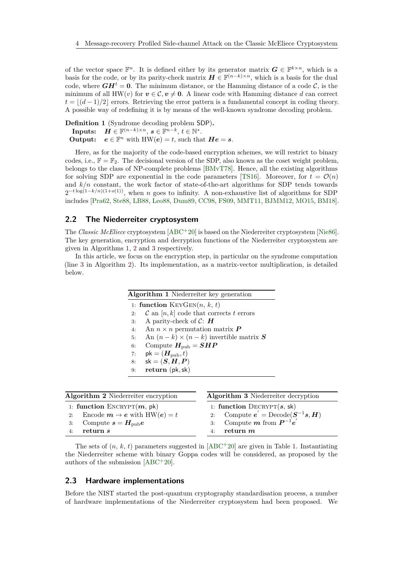of the vector space  $\mathbb{F}^n$ . It is defined either by its generator matrix  $G \in \mathbb{F}^{k \times n}$ , which is a basis for the code, or by its parity-check matrix  $H \in \mathbb{F}^{(n-k)\times n}$ , which is a basis for the dual code, where  $GH<sup>t</sup> = 0$ . The minimum distance, or the Hamming distance of a code  $C$ , is the minimum of all HW(*v*) for  $v \in \mathcal{C}$ ,  $v \neq 0$ . A linear code with Hamming distance *d* can correct  $t = \lfloor (d-1)/2 \rfloor$  errors. Retrieving the error pattern is a fundamental concept in coding theory. A possible way of redefining it is by means of the well-known syndrome decoding problem.

<span id="page-3-3"></span>**Definition 1** (Syndrome decoding problem SDP)**.**  $\textbf{InputStream}, \ \ \pmb{H} \in \mathbb{F}^{(n-k) \times n}, \ \pmb{s} \in \mathbb{F}^{n-k}, \ t \in \mathbb{N}^*.$ **Output:**  $e \in \mathbb{F}^n$  with  $HW(e) = t$ , such that  $He = s$ .

Here, as for the majority of the code-based encryption schemes, we will restrict to binary codes, i.e.,  $\mathbb{F} = \mathbb{F}_2$ . The decisional version of the SDP, also known as the coset weight problem, belongs to the class of NP-complete problems [\[BMvT78\]](#page-20-6). Hence, all the existing algorithms for solving SDP are exponential in the code parameters [\[TS16\]](#page-23-4). Moreover, for  $t = \mathcal{O}(n)$ and  $k/n$  constant, the work factor of state-of-the-art algorithms for SDP tends towards 2 <sup>−</sup>*<sup>t</sup>* log(1−*k/n*)(1+*o*(1)), when *n* goes to infinity. A non-exhaustive list of algorithms for SDP includes [\[Pra62,](#page-23-5) [Ste88,](#page-23-6) [LB88,](#page-22-7) [Leo88,](#page-22-8) [Dum89,](#page-21-10) [CC98,](#page-20-7) [FS09,](#page-21-11) [MMT11,](#page-22-2) [BJMM12,](#page-20-1) [MO15,](#page-22-3) [BM18\]](#page-20-2).

## **2.2 The Niederreiter cryptosystem**

The *Classic McEliece* cryptosystem [\[ABC](#page-20-0)<sup>+</sup>20] is based on the Niederreiter cryptosystem [\[Nie86\]](#page-22-0). The key generation, encryption and decryption functions of the Niederreiter cryptosystem are given in Algorithms [1,](#page-3-0) [2](#page-3-1) and [3](#page-3-2) respectively.

In this article, we focus on the encryption step, in particular on the syndrome computation (line [3](#page-3-1) in Algorithm [2\)](#page-3-1). Its implementation, as a matrix-vector multiplication, is detailed below.

<span id="page-3-2"></span><span id="page-3-0"></span>

|    | <b>Algorithm 1</b> Niederreiter key generation      |
|----|-----------------------------------------------------|
|    | 1: function $KeyGEN(n, k, t)$                       |
| 2: | $\mathcal C$ an $[n,k]$ code that corrects t errors |
| 3: | A parity-check of $\mathcal{C}$ : <b>H</b>          |
| 4: | An $n \times n$ permutation matrix $\boldsymbol{P}$ |
| 5: | An $(n-k) \times (n-k)$ invertible matrix S         |
| 6: | Compute $H_{\text{pub}} = SHP$                      |
| 7: | $pk = (H_{pub}, t)$                                 |
| 8: | $sk = (S, H, P)$                                    |
| 9: | return (pk, sk)                                     |

<span id="page-3-1"></span>

| Algorithm 2 Niederreiter encryption                                                                                           | Algorithm 3 Niederreiter decryption                                                                                                                                                     |  |  |
|-------------------------------------------------------------------------------------------------------------------------------|-----------------------------------------------------------------------------------------------------------------------------------------------------------------------------------------|--|--|
| 1: function ENCRYPT $(m, pk)$<br>2: Encode $m \to e$ with HW( $e$ ) = t<br>3: Compute $s = H_{\text{pub}}e$<br>return s<br>4: | 1: function $\text{DECRYPT}(s, sk)$<br>2: Compute $e^{'} = \text{Decode}(\mathbf{S}^{-1}\mathbf{s}, \mathbf{H})$<br>3: Compute <i>m</i> from $\mathbf{P}^{-1}e^{'}$<br>return $m$<br>4: |  |  |
|                                                                                                                               |                                                                                                                                                                                         |  |  |

The sets of  $(n, k, t)$  parameters suggested in  $[ABC^+20]$  $[ABC^+20]$  are given in Table [1.](#page-4-0) Instantiating the Niederreiter scheme with binary Goppa codes will be considered, as proposed by the authors of the submission [\[ABC](#page-20-0)<sup>+</sup>20].

### **2.3 Hardware implementations**

Before the NIST started the post-quantum cryptography standardisation process, a number of hardware implementations of the Niederreiter cryptosystem had been proposed. We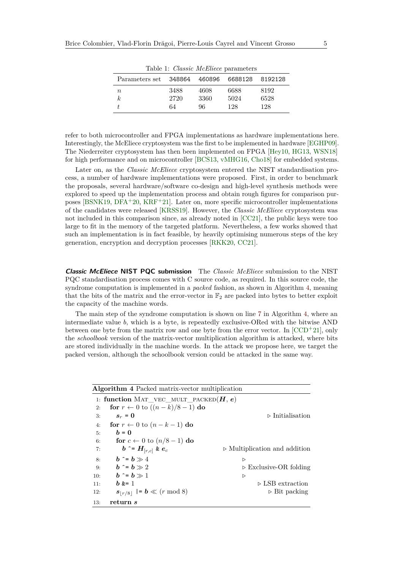<span id="page-4-0"></span>

| Table 1: <i>Classic McEliece</i> parameters |      |      |         |         |  |  |
|---------------------------------------------|------|------|---------|---------|--|--|
| Parameters set 348864 460896                |      |      | 6688128 | 8192128 |  |  |
| $\, n$                                      | 3488 | 4608 | 6688    | 8192    |  |  |
| $\boldsymbol{k}$                            | 2720 | 3360 | 5024    | 6528    |  |  |
|                                             | 64   | 96   | 128     | 128     |  |  |

Table 1: *Classic McEliece* parameters

refer to both microcontroller and FPGA implementations as hardware implementations here. Interestingly, the McEliece cryptosystem was the first to be implemented in hardware [\[EGHP09\]](#page-21-12). The Niederreiter cryptosystem has then been implemented on FPGA [\[Hey10,](#page-21-1) [HG13,](#page-21-2) [WSN18\]](#page-23-1) for high performance and on microcontroller [\[BCS13,](#page-20-8) [vMHG16,](#page-23-0) [Cho18\]](#page-21-13) for embedded systems.

Later on, as the *Classic McEliece* cryptosystem entered the NIST standardisation process, a number of hardware implementations were proposed. First, in order to benchmark the proposals, several hardware/software co-design and high-level synthesis methods were explored to speed up the implementation process and obtain rough figures for comparison pur-poses [\[BSNK19,](#page-20-3) [DFA](#page-21-3)<sup>+</sup>20, [KRF](#page-22-4)<sup>+</sup>21]. Later on, more specific microcontroller implementations of the candidates were released [\[KRSS19\]](#page-22-9). However, the *Classic McEliece* cryptosystem was not included in this comparison since, as already noted in [\[CC21\]](#page-20-4), the public keys were too large to fit in the memory of the targeted platform. Nevertheless, a few works showed that such an implementation is in fact feasible, by heavily optimising numerous steps of the key generation, encryption and decryption processes [\[RKK20,](#page-23-2) [CC21\]](#page-20-4).

**Classic McEliece NIST PQC submission** The *Classic McEliece* submission to the NIST PQC standardisation process comes with C source code, as required. In this source code, the syndrome computation is implemented in a *packed* fashion, as shown in Algorithm [4,](#page-4-1) meaning that the bits of the matrix and the error-vector in  $\mathbb{F}_2$  are packed into bytes to better exploit the capacity of the machine words.

The main step of the syndrome computation is shown on line [7](#page-4-1) in Algorithm [4,](#page-4-1) where an intermediate value *b*, which is a byte, is repeatedly exclusive-ORed with the bitwise AND between one byte from the matrix row and one byte from the error vector. In  $[CCD+21]$  $[CCD+21]$ , only the *schoolbook* version of the matrix-vector multiplication algorithm is attacked, where bits are stored individually in the machine words. In the attack we propose here, we target the packed version, although the schoolbook version could be attacked in the same way.

<span id="page-4-1"></span>

| <b>Algorithm 4</b> Packed matrix-vector multiplication |                                                    |                                              |  |  |  |  |
|--------------------------------------------------------|----------------------------------------------------|----------------------------------------------|--|--|--|--|
|                                                        | 1: function MAT_VEC_MULT_PACKED $(H, e)$           |                                              |  |  |  |  |
| 2:                                                     | for $r \leftarrow 0$ to $((n-k)/8-1)$ do           |                                              |  |  |  |  |
| 3:                                                     | $s_r = 0$                                          | $\triangleright$ Initialisation              |  |  |  |  |
| 4:                                                     | for $r \leftarrow 0$ to $(n - k - 1)$ do           |                                              |  |  |  |  |
| 5:                                                     | $h = 0$                                            |                                              |  |  |  |  |
| 6:                                                     | for $c \leftarrow 0$ to $(n/8 - 1)$ do             |                                              |  |  |  |  |
| 7:                                                     | $\mathbf{b}$ $\sim$ = $H_{[r,c]}$ & $\mathbf{e}_c$ | $\triangleright$ Multiplication and addition |  |  |  |  |
| 8:                                                     | $b \hat{ } = b \gg 4$                              | $\triangleright$                             |  |  |  |  |
| 9:                                                     | $b \hat{ } = b \gg 2$                              | $\triangleright$ Exclusive-OR folding        |  |  |  |  |
| 10:                                                    | $b \hat{ } = b \gg 1$                              | ▷                                            |  |  |  |  |
| 11:                                                    | $b$ $k=1$                                          | $\triangleright$ LSB extraction              |  |  |  |  |
| 12:                                                    | $s_{ r/8 }$  = $b \ll (r \mod 8)$                  | $\triangleright$ Bit packing                 |  |  |  |  |
| 13:                                                    | return s                                           |                                              |  |  |  |  |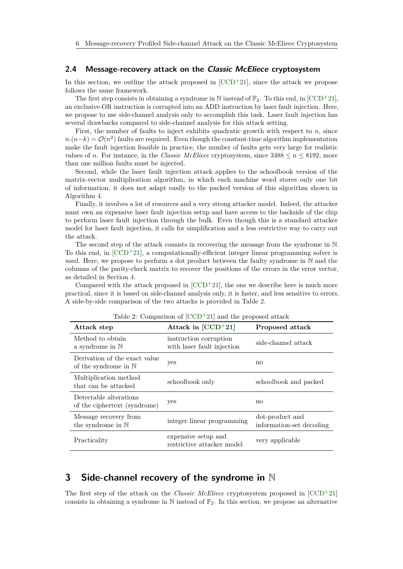### **2.4 Message-recovery attack on the Classic McEliece cryptosystem**

In this section, we outline the attack proposed in  $[CCD+21]$  $[CCD+21]$ , since the attack we propose follows the same framework.

The first step consists in obtaining a syndrome in N instead of  $\mathbb{F}_2$ . To this end, in [\[CCD](#page-20-5)+21], an exclusive-OR instruction is corrupted into an ADD instruction by laser fault injection. Here, we propose to use side-channel analysis only to accomplish this task. Laser fault injection has several drawbacks compared to side-channel analysis for this attack setting.

First, the number of faults to inject exhibits quadratic growth with respect to *n*, since  $n.(n-k) = \mathcal{O}(n^2)$  faults are required. Even though the constant-time algorithm implementation make the fault injection feasible in practice, the number of faults gets very large for realistic values of *n*. For instance, in the *Classic McEliece* cryptosystem, since  $3488 \leq n \leq 8192$ , more than one million faults must be injected.

Second, while the laser fault injection attack applies to the schoolbook version of the matrix-vector multiplication algorithm, in which each machine word stores only one bit of information, it does not adapt easily to the packed version of this algorithm shown in Algorithm [4.](#page-4-1)

Finally, it involves a lot of resources and a very strong attacker model. Indeed, the attacker must own an expensive laser fault injection setup and have access to the backside of the chip to perform laser fault injection through the bulk. Even though this is a standard attacker model for laser fault injection, it calls for simplification and a less restrictive way to carry out the attack.

The second step of the attack consists in recovering the message from the syndrome in N. To this end, in  $[CCD+21]$  $[CCD+21]$ , a computationally-efficient integer linear programming solver is used. Here, we propose to perform a dot product between the faulty syndrome in N and the columns of the parity-check matrix to recover the positions of the errors in the error vector, as detailed in Section [4.](#page-10-0)

Compared with the attack proposed in  $[CCD+21]$  $[CCD+21]$ , the one we describe here is much more practical, since it is based on side-channel analysis only, it is faster, and less sensitive to errors. A side-by-side comparison of the two attacks is provided in Table [2.](#page-5-1)

<span id="page-5-1"></span>

| Attack step                                                     | Attack in $[CCD+21]$                                 | Proposed attack                             |
|-----------------------------------------------------------------|------------------------------------------------------|---------------------------------------------|
| Method to obtain<br>a syndrome in $\mathbb N$                   | instruction corruption<br>with laser fault injection | side-channel attack                         |
| Derivation of the exact value<br>of the syndrome in $\mathbb N$ | yes                                                  | no                                          |
| Multiplication method<br>that can be attacked                   | schoolbook only                                      | schoolbook and packed                       |
| Detectable alterations<br>of the ciphertext (syndrome)          | yes                                                  | no                                          |
| Message recovery from<br>the syndrome in $\mathbb N$            | integer linear programming                           | dot-product and<br>information-set decoding |
| Practicality                                                    | expensive setup and<br>restrictive attacker model    | very applicable                             |

Table 2: Comparison of  $[CCD+21]$  $[CCD+21]$  and the proposed attack

## <span id="page-5-0"></span>**3 Side-channel recovery of the syndrome in** N

The first step of the attack on the *Classic McEliece* cryptosystem proposed in [\[CCD](#page-20-5)<sup>+</sup>21] consists in obtaining a syndrome in  $\mathbb N$  instead of  $\mathbb F_2$ . In this section, we propose an alternative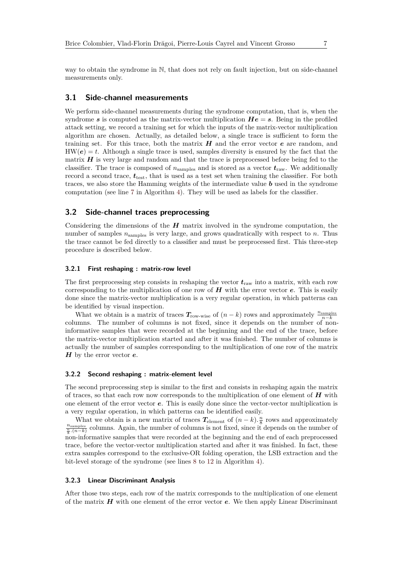way to obtain the syndrome in N, that does not rely on fault injection, but on side-channel measurements only.

### **3.1 Side-channel measurements**

We perform side-channel measurements during the syndrome computation, that is, when the syndrome s is computed as the matrix-vector multiplication  $He = s$ . Being in the profiled attack setting, we record a training set for which the inputs of the matrix-vector multiplication algorithm are chosen. Actually, as detailed below, a single trace is sufficient to form the training set. For this trace, both the matrix *H* and the error vector *e* are random, and  $HW(e) = t$ . Although a single trace is used, samples diversity is ensured by the fact that the matrix *H* is very large and random and that the trace is preprocessed before being fed to the classifier. The trace is composed of  $n_{\text{samples}}$  and is stored as a vector  $t_{\text{raw}}$ . We additionally record a second trace, *t*test, that is used as a test set when training the classifier. For both traces, we also store the Hamming weights of the intermediate value *b* used in the syndrome computation (see line [7](#page-4-1) in Algorithm [4\)](#page-4-1). They will be used as labels for the classifier.

### **3.2 Side-channel traces preprocessing**

Considering the dimensions of the *H* matrix involved in the syndrome computation, the number of samples  $n_{\text{samples}}$  is very large, and grows quadratically with respect to *n*. Thus the trace cannot be fed directly to a classifier and must be preprocessed first. This three-step procedure is described below.

#### **3.2.1 First reshaping : matrix-row level**

The first preprocessing step consists in reshaping the vector  $t_{\text{raw}}$  into a matrix, with each row corresponding to the multiplication of one row of *H* with the error vector *e*. This is easily done since the matrix-vector multiplication is a very regular operation, in which patterns can be identified by visual inspection.

What we obtain is a matrix of traces  $T_{\text{row-wise}}$  of  $(n - k)$  rows and approximately  $\frac{n_{\text{samples}}}{n-k}$ columns. The number of columns is not fixed, since it depends on the number of noninformative samples that were recorded at the beginning and the end of the trace, before the matrix-vector multiplication started and after it was finished. The number of columns is actually the number of samples corresponding to the multiplication of one row of the matrix *H* by the error vector *e*.

#### **3.2.2 Second reshaping : matrix-element level**

The second preprocessing step is similar to the first and consists in reshaping again the matrix of traces, so that each row now corresponds to the multiplication of one element of *H* with one element of the error vector *e*. This is easily done since the vector-vector multiplication is a very regular operation, in which patterns can be identified easily.

What we obtain is a new matrix of traces  $T_{\text{element}}$  of  $(n-k)$ *.* $\frac{n}{8}$  rows and approximately  $\frac{n_{\text{samples}}}{\frac{n}{8} \cdot (n-k)}$  columns. Again, the number of columns is not fixed, since it depends on the number of non-informative samples that were recorded at the beginning and the end of each preprocessed trace, before the vector-vector multiplication started and after it was finished. In fact, these extra samples correspond to the exclusive-OR folding operation, the LSB extraction and the bit-level storage of the syndrome (see lines [8](#page-4-1) to [12](#page-4-1) in Algorithm [4\)](#page-4-1).

#### **3.2.3 Linear Discriminant Analysis**

After those two steps, each row of the matrix corresponds to the multiplication of one element of the matrix *H* with one element of the error vector *e*. We then apply Linear Discriminant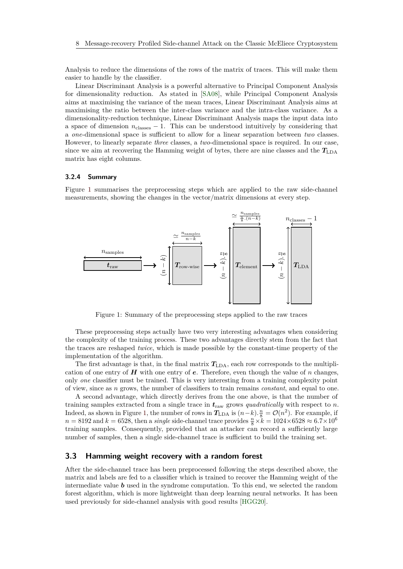Analysis to reduce the dimensions of the rows of the matrix of traces. This will make them easier to handle by the classifier.

Linear Discriminant Analysis is a powerful alternative to Principal Component Analysis for dimensionality reduction. As stated in [\[SA08\]](#page-23-7), while Principal Component Analysis aims at maximising the variance of the mean traces, Linear Discriminant Analysis aims at maximising the ratio between the inter-class variance and the intra-class variance. As a dimensionality-reduction technique, Linear Discriminant Analysis maps the input data into a space of dimension  $n_{\text{classes}} - 1$ . This can be understood intuitively by considering that a *one*-dimensional space is sufficient to allow for a linear separation between *two* classes. However, to linearly separate *three* classes, a *two*-dimensional space is required. In our case, since we aim at recovering the Hamming weight of bytes, there are nine classes and the  $T_{\text{LDA}}$ matrix has eight columns.

#### **3.2.4 Summary**

Figure [1](#page-7-0) summarises the preprocessing steps which are applied to the raw side-channel measurements, showing the changes in the vector/matrix dimensions at every step.

<span id="page-7-0"></span>

Figure 1: Summary of the preprocessing steps applied to the raw traces

These preprocessing steps actually have two very interesting advantages when considering the complexity of the training process. These two advantages directly stem from the fact that the traces are reshaped *twice*, which is made possible by the constant-time property of the implementation of the algorithm.

The first advantage is that, in the final matrix  $T_{\text{LDA}}$ , each row corresponds to the multiplication of one entry of *H* with one entry of *e*. Therefore, even though the value of *n* changes, only *one* classifier must be trained. This is very interesting from a training complexity point of view, since as *n* grows, the number of classifiers to train remains *constant*, and equal to one.

A second advantage, which directly derives from the one above, is that the number of training samples extracted from a single trace in  $t_{\text{raw}}$  grows *quadratically* with respect to *n*. Indeed, as shown in Figure [1,](#page-7-0) the number of rows in  $T_{\text{LDA}}$  is  $(n-k)$ .  $\frac{n}{8} = \mathcal{O}(n^2)$ . For example, if  $n = 8192$  and  $k = 6528$ , then a *single* side-channel trace provides  $\frac{n}{8} \times k = 1024 \times 6528 \approx 6.7 \times 10^6$ training samples. Consequently, provided that an attacker can record a sufficiently large number of samples, then a single side-channel trace is sufficient to build the training set.

## **3.3 Hamming weight recovery with a random forest**

After the side-channel trace has been preprocessed following the steps described above, the matrix and labels are fed to a classifier which is trained to recover the Hamming weight of the intermediate value *b* used in the syndrome computation. To this end, we selected the random forest algorithm, which is more lightweight than deep learning neural networks. It has been used previously for side-channel analysis with good results [\[HGG20\]](#page-21-14).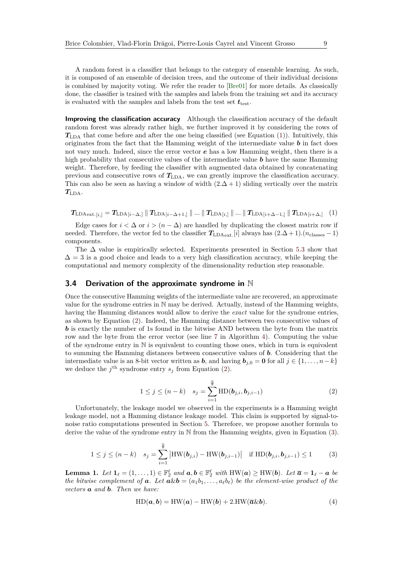A random forest is a classifier that belongs to the category of ensemble learning. As such, it is composed of an ensemble of decision trees, and the outcome of their individual decisions is combined by majority voting. We refer the reader to [\[Bre01\]](#page-20-9) for more details. As classically done, the classifier is trained with the samples and labels from the training set and its accuracy is evaluated with the samples and labels from the test set  $t_{test}$ .

<span id="page-8-5"></span>**Improving the classification accuracy** Although the classification accuracy of the default random forest was already rather high, we further improved it by considering the rows of *T*LDA that come before and after the one being classified (see Equation [\(1\)](#page-8-0)). Intuitively, this originates from the fact that the Hamming weight of the intermediate value *b* in fact does not vary much. Indeed, since the error vector *e* has a low Hamming weight, then there is a high probability that consecutive values of the intermediate value *b* have the same Hamming weight. Therefore, by feeding the classifier with augmented data obtained by concatenating previous and consecutive rows of  $T_{LDA}$ , we can greatly improve the classification accuracy. This can also be seen as having a window of width  $(2.\Delta + 1)$  sliding vertically over the matrix *T*LDA.

<span id="page-8-0"></span>
$$
T_{\text{LDAext.}[i,]} = T_{\text{LDA}[i-\Delta,\text{]}} \parallel T_{\text{LDA}[i-\Delta+1,\text{]}} \parallel \dots \parallel T_{\text{LDA}[i,\text{]}} \parallel \dots \parallel T_{\text{LDA}[i+\Delta-1,\text{]}} \parallel T_{\text{LDA}[i+\Delta,\text{]}} \quad (1)
$$

Edge cases for  $i < \Delta$  or  $i > (n - \Delta)$  are handled by duplicating the closest matrix row if needed. Therefore, the vector fed to the classifier  $T_{\text{LDAext}}[i]$  always has  $(2.\Delta+1)$ *.*( $n_{\text{classes}}-1$ ) components.

The  $\Delta$  value is empirically selected. Experiments presented in Section [5.3](#page-16-0) show that  $\Delta = 3$  is a good choice and leads to a very high classification accuracy, while keeping the computational and memory complexity of the dimensionality reduction step reasonable.

#### <span id="page-8-4"></span>**3.4 Derivation of the approximate syndrome in** N

Once the consecutive Hamming weights of the intermediate value are recovered, an approximate value for the syndrome entries in N may be derived. Actually, instead of the Hamming weights, having the Hamming distances would allow to derive the *exact* value for the syndrome entries, as shown by Equation [\(2\)](#page-8-1). Indeed, the Hamming distance between two consecutive values of *b* is exactly the number of 1s found in the bitwise AND between the byte from the matrix row and the byte from the error vector (see line [7](#page-4-1) in Algorithm [4\)](#page-4-1). Computing the value of the syndrome entry in  $\mathbb N$  is equivalent to counting those ones, which in turn is equivalent to summing the Hamming distances between consecutive values of *b*. Considering that the intermediate value is an 8-bit vector written as *b*, and having  $\mathbf{b}_{j,0} = \mathbf{0}$  for all  $j \in \{1, \ldots, n-k\}$ we deduce the  $j^{\text{th}}$  syndrome entry  $s_j$  from Equation [\(2\)](#page-8-1).

<span id="page-8-1"></span>
$$
1 \le j \le (n-k) \quad s_j = \sum_{i=1}^{\frac{n}{8}} \text{HD}(\boldsymbol{b}_{j,i}, \boldsymbol{b}_{j,i-1}) \tag{2}
$$

Unfortunately, the leakage model we observed in the experiments is a Hamming weight leakage model, not a Hamming distance leakage model. This claim is supported by signal-tonoise ratio computations presented in Section [5.](#page-14-0) Therefore, we propose another formula to derive the value of the syndrome entry in N from the Hamming weights, given in Equation [\(3\)](#page-8-2).

<span id="page-8-2"></span>
$$
1 \leq j \leq (n-k) \quad s_j = \sum_{i=1}^{\frac{n}{8}} \left| HW(\mathbf{b}_{j,i}) - HW(\mathbf{b}_{j,i-1}) \right| \quad \text{if } HD(\mathbf{b}_{j,i}, \mathbf{b}_{j,i-1}) \leq 1 \tag{3}
$$

**Lemma 1.** Let  $\mathbf{1}_{\ell} = (1, \ldots, 1) \in \mathbb{F}_2^{\ell}$  and  $\mathbf{a}, \mathbf{b} \in \mathbb{F}_2^{\ell}$  with  $HW(\mathbf{a}) \geq HW(\mathbf{b})$ . Let  $\overline{\mathbf{a}} = \mathbf{1}_{\ell} - \mathbf{a}$  be *the bitwise complement of* **a***.* Let  $a \& b = (a_1 b_1, \ldots, a_\ell b_\ell)$  be the element-wise product of the *vectors a and b. Then we have:*

<span id="page-8-3"></span>
$$
HD(a, b) = HW(a) - HW(b) + 2.HW(\overline{a}\&b).
$$
 (4)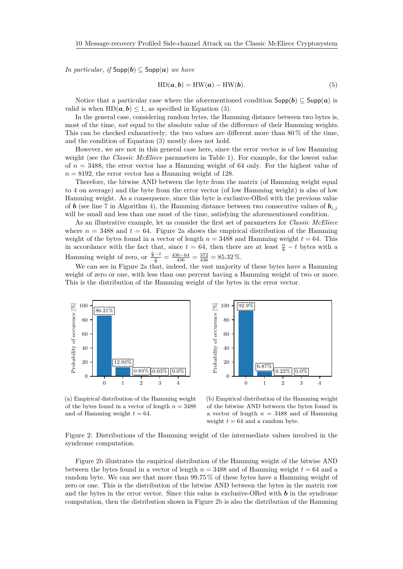*In particular, if*  $\textsf{Supp}(b) \subseteq \textsf{Supp}(a)$  *we have* 

$$
HD(a, b) = HW(a) - HW(b).
$$
\n(5)

Notice that a particular case where the aforementioned condition  $\text{Supp}(b) \subset \text{Supp}(a)$  is valid is when  $HD(a, b) \leq 1$ , as specified in Equation [\(3\)](#page-8-2).

In the general case, considering random bytes, the Hamming distance between two bytes is, most of the time, *not* equal to the absolute value of the difference of their Hamming weights. This can be checked exhaustively: the two values are different more than  $80\%$  of the time, and the condition of Equation [\(3\)](#page-8-2) mostly does not hold.

However, we are not in this general case here, since the error vector is of low Hamming weight (see the *Classic McEliece* parameters in Table [1\)](#page-4-0). For example, for the lowest value of *n* = 3488, the error vector has a Hamming weight of 64 only. For the highest value of  $n = 8192$ , the error vector has a Hamming weight of 128.

Therefore, the bitwise AND between the byte from the matrix (of Hamming weight equal to 4 on average) and the byte from the error vector (of low Hamming weight) is also of low Hamming weight. As a consequence, since this byte is exclusive-ORed with the previous value of *b* (see line [7](#page-4-1) in Algorithm [4\)](#page-4-1), the Hamming distance between two consecutive values of  $\mathbf{b}_{i,j}$ will be small and less than one most of the time, satisfying the aforementioned condition.

As an illustrative example, let us consider the first set of parameters for *Classic McEliece* where  $n = 3488$  and  $t = 64$ . Figure [2a](#page-9-0) shows the empirical distribution of the Hamming weight of the bytes found in a vector of length  $n = 3488$  and Hamming weight  $t = 64$ . This in accordance with the fact that, since  $t = 64$ , then there are at least  $\frac{n}{8} - t$  bytes with a Hamming weight of zero, or  $\frac{\frac{n}{8}-t}{\frac{n}{8}} = \frac{436-64}{436} = \frac{372}{436} = 85.32\%$ .

We can see in Figure [2a](#page-9-0) that, indeed, the vast majority of these bytes have a Hamming weight of zero or one, with less than one percent having a Hamming weight of two or more. This is the distribution of the Hamming weight of the bytes in the error vector.





<span id="page-9-0"></span>(a) Empirical distribution of the Hamming weight of the bytes found in a vector of length  $n = 3488$ and of Hamming weight  $t = 64$ .

<span id="page-9-1"></span>(b) Empirical distribution of the Hamming weight of the bitwise AND between the bytes found in a vector of length  $n = 3488$  and of Hamming weight  $t = 64$  and a random byte.

Figure 2: Distributions of the Hamming weight of the intermediate values involved in the syndrome computation.

Figure [2b](#page-9-1) illustrates the empirical distribution of the Hamming weight of the bitwise AND between the bytes found in a vector of length *n* = 3488 and of Hamming weight *t* = 64 and a random byte. We can see that more than 99*.*75 % of these bytes have a Hamming weight of zero or one. This is the distribution of the bitwise AND between the bytes in the matrix row and the bytes in the error vector. Since this value is exclusive-ORed with *b* in the syndrome computation, then the distribution shown in Figure [2b](#page-9-1) is also the distribution of the Hamming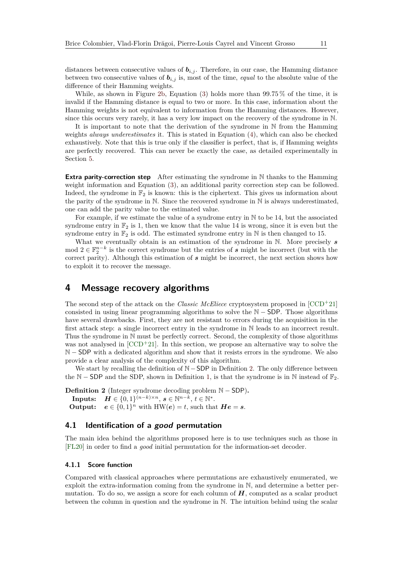distances between consecutive values of  $b_{i,j}$ . Therefore, in our case, the Hamming distance between two consecutive values of  $b_{i,j}$  is, most of the time, *equal* to the absolute value of the difference of their Hamming weights.

While, as shown in Figure [2b,](#page-9-1) Equation [\(3\)](#page-8-2) holds more than 99*.*75 % of the time, it is invalid if the Hamming distance is equal to two or more. In this case, information about the Hamming weights is not equivalent to information from the Hamming distances. However, since this occurs very rarely, it has a very low impact on the recovery of the syndrome in N.

It is important to note that the derivation of the syndrome in N from the Hamming weights *always underestimates* it. This is stated in Equation [\(4\)](#page-8-3), which can also be checked exhaustively. Note that this is true only if the classifier is perfect, that is, if Hamming weights are perfectly recovered. This can never be exactly the case, as detailed experimentally in Section [5.](#page-14-0)

**Extra parity-correction step** After estimating the syndrome in N thanks to the Hamming weight information and Equation [\(3\)](#page-8-2), an additional parity correction step can be followed. Indeed, the syndrome in  $\mathbb{F}_2$  is known: this is the ciphertext. This gives us information about the parity of the syndrome in N. Since the recovered syndrome in N is always underestimated, one can add the parity value to the estimated value.

For example, if we estimate the value of a syndrome entry in N to be 14, but the associated syndrome entry in  $\mathbb{F}_2$  is 1, then we know that the value 14 is wrong, since it is even but the syndrome entry in  $\mathbb{F}_2$  is odd. The estimated syndrome entry in N is then changed to 15.

What we eventually obtain is an estimation of the syndrome in N. More precisely *s* mod  $2 \in \mathbb{F}_2^{n-k}$  is the correct syndrome but the entries of *s* might be incorrect (but with the correct parity). Although this estimation of *s* might be incorrect, the next section shows how to exploit it to recover the message.

## <span id="page-10-0"></span>**4 Message recovery algorithms**

The second step of the attack on the *Classic McEliece* cryptosystem proposed in [\[CCD](#page-20-5)<sup>+</sup>21] consisted in using linear programming algorithms to solve the  $N - SDP$ . Those algorithms have several drawbacks. First, they are not resistant to errors during the acquisition in the first attack step: a single incorrect entry in the syndrome in N leads to an incorrect result. Thus the syndrome in N must be perfectly correct. Second, the complexity of those algorithms was not analysed in  $[CCD+21]$  $[CCD+21]$ . In this section, we propose an alternative way to solve the N − SDP with a dedicated algorithm and show that it resists errors in the syndrome. We also provide a clear analysis of the complexity of this algorithm.

We start by recalling the definition of N−SDP in Definition [2.](#page-10-1) The only difference between the N − SDP and the SDP, shown in Definition [1,](#page-3-3) is that the syndrome is in N instead of  $\mathbb{F}_2$ .

<span id="page-10-1"></span>**Definition 2** (Integer syndrome decoding problem  $\mathbb{N}$  – SDP). **Inputs:**  $H \in \{0, 1\}^{(n-k)\times n}, s \in \mathbb{N}^{n-k}, t \in \mathbb{N}^*.$ **Output:**  $e \in \{0, 1\}^n$  with  $HW(e) = t$ , such that  $He = s$ .

## **4.1 Identification of a good permutation**

The main idea behind the algorithms proposed here is to use techniques such as those in [\[FL20\]](#page-21-9) in order to find a *good* initial permutation for the information-set decoder.

#### **4.1.1 Score function**

Compared with classical approaches where permutations are exhaustively enumerated, we exploit the extra-information coming from the syndrome in N, and determine a better permutation. To do so, we assign a score for each column of *H*, computed as a scalar product between the column in question and the syndrome in N. The intuition behind using the scalar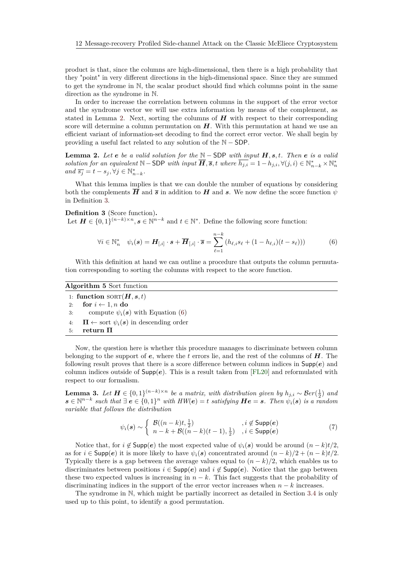product is that, since the columns are high-dimensional, then there is a high probability that they "point" in very different directions in the high-dimensional space. Since they are summed to get the syndrome in N, the scalar product should find which columns point in the same direction as the syndrome in N.

In order to increase the correlation between columns in the support of the error vector and the syndrome vector we will use extra information by means of the complement, as stated in Lemma [2.](#page-11-0) Next, sorting the columns of  $H$  with respect to their corresponding score will determine a column permutation on *H*. With this permutation at hand we use an efficient variant of information-set decoding to find the correct error vector. We shall begin by providing a useful fact related to any solution of the N − SDP.

<span id="page-11-0"></span>**Lemma 2.** *Let e be a valid solution for the* N − SDP *with input H, s, t. Then e is a valid solution for an equivalent*  $\mathbb{N}-\text{SDP}$  *with input*  $\overline{H}$ *,*  $\overline{s}$ *, t where*  $\overline{h_{j,i}} = 1 - h_{j,i}, \forall (j,i) \in \mathbb{N}_{n-k}^* \times \mathbb{N}_n^*$  $and \ \overline{s_j} = t - s_j, \forall j \in \mathbb{N}_{n-k}^*$ .

What this lemma implies is that we can double the number of equations by considering both the complements  $\overline{H}$  and  $\overline{s}$  in addition to  $H$  and  $s$ . We now define the score function  $\psi$ in Definition [3.](#page-11-1)

<span id="page-11-1"></span>**Definition 3** (Score function)**.** Let  $H \in \{0,1\}^{(n-k)\times n}, s \in \mathbb{N}^{n-k}$  and  $t \in \mathbb{N}^*$ . Define the following score function:

<span id="page-11-2"></span>
$$
\forall i \in \mathbb{N}_n^* \quad \psi_i(\mathbf{s}) = \boldsymbol{H}_{[,i]} \cdot \mathbf{s} + \overline{\boldsymbol{H}}_{[,i]} \cdot \overline{\mathbf{s}} = \sum_{\ell=1}^{n-k} \left( h_{\ell,i} s_{\ell} + (1 - h_{\ell,i})(t - s_{\ell}) \right) \tag{6}
$$

With this definition at hand we can outline a procedure that outputs the column permutation corresponding to sorting the columns with respect to the score function.

## <span id="page-11-3"></span>**Algorithm 5** Sort function

1: **function**  $SORT(\mathbf{H}, \mathbf{s}, t)$ 2: **for**  $i \leftarrow 1, n$  **do** 3: compute  $\psi_i(\mathbf{s})$  with Equation [\(6\)](#page-11-2)

4:  $\Pi \leftarrow$  sort  $\psi_i(s)$  in descending order

5: return 
$$
\Pi
$$

Now, the question here is whether this procedure manages to discriminate between column belonging to the support of *e*, where the *t* errors lie, and the rest of the columns of *H*. The following result proves that there is a score difference between column indices in Supp(*e*) and column indices outside of  $\text{Supp}(e)$ . This is a result taken from [\[FL20\]](#page-21-9) and reformulated with respect to our formalism.

**Lemma 3.** *Let*  $H \in \{0,1\}^{(n-k)\times n}$  *be a matrix, with distribution given by*  $h_{j,i} \sim \mathcal{B}er(\frac{1}{2})$  *and*  $s ∈ \mathbb{N}^{n-k}$  *such that*  $\exists e ∈ {0,1}^n$  *with*  $HW(e) = t$  *satisfying*  $He = s$ *. Then*  $\psi_i(s)$  *is a random variable that follows the distribution*

$$
\psi_i(\mathbf{s}) \sim \begin{cases} \mathcal{B}((n-k)t, \frac{1}{2}) & , i \notin \text{Supp}(\mathbf{e}) \\ n-k + \mathcal{B}((n-k)(t-1), \frac{1}{2}) & , i \in \text{Supp}(\mathbf{e}) \end{cases}
$$
(7)

Notice that, for  $i \notin \text{Supp}(e)$  the most expected value of  $\psi_i(s)$  would be around  $(n-k)t/2$ , as for  $i \in \text{Supp}(e)$  it is more likely to have  $\psi_i(s)$  concentrated around  $(n-k)/2 + (n-k)t/2$ . Typically there is a gap between the average values equal to  $(n - k)/2$ , which enables us to discriminates between positions  $i \in \text{Supp}(e)$  and  $i \notin \text{Supp}(e)$ . Notice that the gap between these two expected values is increasing in  $n - k$ . This fact suggests that the probability of discriminating indices in the support of the error vector increases when  $n - k$  increases.

The syndrome in N, which might be partially incorrect as detailed in Section [3.4](#page-8-4) is only used up to this point, to identify a good permutation.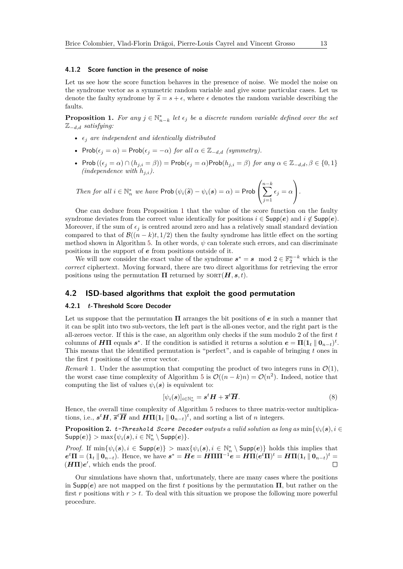#### **4.1.2 Score function in the presence of noise**

Let us see how the score function behaves in the presence of noise. We model the noise on the syndrome vector as a symmetric random variable and give some particular cases. Let us denote the faulty syndrome by  $\tilde{s} = s + \epsilon$ , where  $\epsilon$  denotes the random variable describing the faults.

<span id="page-12-0"></span>**Proposition 1.** For any  $j \in \mathbb{N}_{n-k}^*$  let  $\epsilon_j$  be a discrete random variable defined over the set Z−*d,d satisfying:*

- $\epsilon_i$  *are independent and identically distributed*
- Prob $(\epsilon_j = \alpha)$  = Prob $(\epsilon_j = -\alpha)$  *for all*  $\alpha \in \mathbb{Z}_{-d,d}$  *(symmetry).*
- Prob  $((\epsilon_j = \alpha) \cap (h_{j,i} = \beta)) = \text{Prob}(\epsilon_j = \alpha) \text{Prob}(h_{j,i} = \beta)$  *for any*  $\alpha \in \mathbb{Z}_{-d,d}, \beta \in \{0,1\}$ *(independence with*  $h_{j,i}$ *).*

Then for all 
$$
i \in \mathbb{N}_n^*
$$
 we have  $\text{Prob}(\psi_i(\widetilde{\mathbf{s}}) - \psi_i(\mathbf{s}) = \alpha) = \text{Prob}\left(\sum_{j=1}^{n-k} \epsilon_j = \alpha\right).$ 

One can deduce from Proposition [1](#page-12-0) that the value of the score function on the faulty syndrome deviates from the correct value identically for positions  $i \in \text{Supp}(e)$  and  $i \notin \text{Supp}(e)$ . Moreover, if the sum of  $\epsilon_i$  is centred around zero and has a relatively small standard deviation compared to that of  $\mathcal{B}((n-k)t, 1/2)$  then the faulty syndrome has little effect on the sorting method shown in Algorithm [5.](#page-11-3) In other words, *ψ* can tolerate such errors, and can discriminate positions in the support of *e* from positions outside of it.

We will now consider the exact value of the syndrome  $s^* = s \mod 2 \in \mathbb{F}_2^{n-k}$  which is the *correct* ciphertext. Moving forward, there are two direct algorithms for retrieving the error positions using the permutation  $\Pi$  returned by  $SORT(\boldsymbol{H}, \boldsymbol{s}, t)$ .

## **4.2 ISD-based algorithms that exploit the good permutation**

### **4.2.1** *t***-Threshold Score Decoder**

Let us suppose that the permutation **Π** arranges the bit positions of *e* in such a manner that it can be split into two sub-vectors, the left part is the all-ones vector, and the right part is the all-zeroes vector. If this is the case, an algorithm only checks if the sum modulo 2 of the first *t* columns of  $H\Pi$  equals  $s^*$ . If the condition is satisfied it returns a solution  $e = \Pi(1_t \parallel 0_{n-t})^t$ . This means that the identified permutation is "perfect", and is capable of bringing *t* ones in the first *t* positions of the error vector.

*Remark* 1. Under the assumption that computing the product of two integers runs in  $\mathcal{O}(1)$ , the worst case time complexity of Algorithm [5](#page-11-3) is  $\mathcal{O}((n-k)n) = \mathcal{O}(n^2)$ . Indeed, notice that computing the list of values  $\psi_i(\mathbf{s})$  is equivalent to:

$$
[\psi_i(\mathbf{s})]_{i \in \mathbb{N}_n^*} = \mathbf{s}^t \mathbf{H} + \overline{\mathbf{s}}^t \overline{\mathbf{H}}.
$$
 (8)

Hence, the overall time complexity of Algorithm [5](#page-11-3) reduces to three matrix-vector multiplications, i.e.,  $s^t H$ ,  $\overline{s}^t \overline{H}$  and  $H\Pi(1_t || 0_{n-t})^t$ , and sorting a list of *n* integers.

**Proposition 2.** *t*-Threshold Score Decoder outputs a valid solution as long as  $\min{\psi_i(\mathbf{s}), i \in \mathbb{R}}$  $\textsf{Supp}(e)$ }  $> \max\{\psi_i(\mathbf{s}), i \in \mathbb{N}_n^* \setminus \textsf{Supp}(e)\}.$ 

*Proof.* If  $\min\{\psi_i(\mathbf{s}), i \in \text{Supp}(\mathbf{e})\}$  >  $\max\{\psi_i(\mathbf{s}), i \in \mathbb{N}_n^* \setminus \text{Supp}(\mathbf{e})\}$  holds this implies that  $e^t \Pi = (\mathbf{1}_t \mathbin{\|} \mathbf{0}_{n-t}).$  Hence, we have  $s^* = He = H \Pi \Pi^{-1} e = H \Pi (e^t \Pi)^t = H \Pi (\mathbf{1}_t \mathbin{\|} \mathbf{0}_{n-t})^t =$  $(H\Pi)e'$ , which ends the proof.

Our simulations have shown that, unfortunately, there are many cases where the positions in Supp(*e*) are not mapped on the first *t* positions by the permutation **Π**, but rather on the first *r* positions with  $r > t$ . To deal with this situation we propose the following more powerful procedure.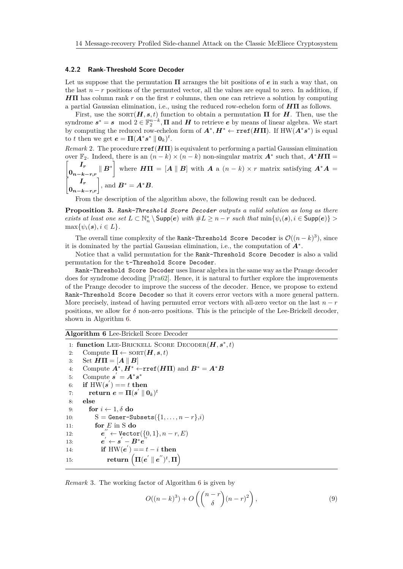#### **4.2.2 Rank-Threshold Score Decoder**

Let us suppose that the permutation **Π** arranges the bit positions of *e* in such a way that, on the last  $n - r$  positions of the permuted vector, all the values are equal to zero. In addition, if *H***Π** has column rank *r* on the first *r* columns, then one can retrieve a solution by computing a partial Gaussian elimination, i.e., using the reduced row-echelon form of *H***Π** as follows.

First, use the  $SORT(\boldsymbol{H}, s, t)$  function to obtain a permutation  $\Pi$  for  $\boldsymbol{H}$ . Then, use the syndrome  $s^* = s \mod 2 \in \mathbb{F}_2^{n-k}$ ,  $\Pi$  and  $H$  to retrieve *e* by means of linear algebra. We start by computing the reduced row-echelon form of  $A^*$ ,  $H^* \leftarrow \text{rref}(H\Pi)$ . If  $HW(A^*s^*)$  is equal to *t* then we get  $e = \Pi (A^* s^* \parallel 0_k)^t$ .

*Remark* 2. The procedure  $\text{rref}(H\Pi)$  is equivalent to performing a partial Gaussian elimination over  $\mathbb{F}_2$ . Indeed, there is an  $(n-k) \times (n-k)$  non-singular matrix  $A^*$  such that,  $A^* H \Pi =$ 

$$
\begin{bmatrix} I_r \\ 0_{n-k-r,r} & B^* \end{bmatrix}
$$
 where  $H\Pi = [A \parallel B]$  with  $A$  a  $(n-k) \times r$  matrix satisfying  $A^*A = \begin{bmatrix} I_r \\ 0_{n-k-r,r} \end{bmatrix}$ , and  $B^* = A^*B$ .

From the description of the algorithm above, the following result can be deduced.

**Proposition 3.** *Rank-Threshold Score Decoder outputs a valid solution as long as there exists at least one set*  $L \subset \mathbb{N}_n^* \setminus \text{Supp}(e)$  *with*  $\#L \geq n-r$  *such that*  $\min\{\psi_i(\mathbf{s}), i \in \text{Supp}(e)\}$  >  $\max\{\psi_i(\mathbf{s}), i \in L\}.$ 

The overall time complexity of the Rank-Threshold Score Decoder is  $\mathcal{O}((n-k)^3)$ , since it is dominated by the partial Gaussian elimination, i.e., the computation of *A*<sup>∗</sup> .

Notice that a valid permutation for the Rank-Threshold Score Decoder is also a valid permutation for the t-Threshold Score Decoder.

Rank-Threshold Score Decoder uses linear algebra in the same way as the Prange decoder does for syndrome decoding [\[Pra62\]](#page-23-5). Hence, it is natural to further explore the improvements of the Prange decoder to improve the success of the decoder. Hence, we propose to extend Rank-Threshold Score Decoder so that it covers error vectors with a more general pattern. More precisely, instead of having permuted error vectors with all-zero vector on the last  $n - r$ positions, we allow for  $\delta$  non-zero positions. This is the principle of the Lee-Brickell decoder, shown in Algorithm [6.](#page-13-0)

#### <span id="page-13-0"></span>**Algorithm 6** Lee-Brickell Score Decoder

```
1: function LEE-BRICKELL SCORE DECODER(H, s^*, t)2: Compute \Pi \leftarrow \text{SORT}(\boldsymbol{H}, s, t)3: Set H\Pi = [A \parallel B]4: Compute A^*, H^* \leftarrow \text{rref}(H\Pi) and B^* = A^*B5: Compute \mathbf{s}' = \mathbf{A}^* \mathbf{s}^*\mathbf{6:} \quad \mathbf{if} \; \mathbf{HW}(\mathbf{s}') == t \; \mathbf{then}\textbf{r}: \qquad \textbf{return} \stackrel{\cdot}{\bm{e}} = \bm{\Pi}(\bm{s}^{'} \parallel \bm{0}_k)^t8: else
 9: for i \leftarrow 1, \delta do
10: S = \text{Gener-Subsets}(\{1, \ldots, n-r\}, i)11: for E in S do
12: e
                       \text{``} \leftarrow \text{Vector}(\{0, 1\}, n-r, E)13: e^{'} \leftarrow s^{'} - B^* e^{'}14: if HW(e') = t - i then
\mathbf{r} = \mathbf{r} \mathbf{w} \mathbf{v} + \mathbf{r} \mathbf{v} \mathbf{v} + \mathbf{r} \left( \mathbf{r} \mathbf{u}(\mathbf{e}^{\prime} \parallel \mathbf{e}^{\prime\prime})^t, \mathbf{r} \mathbf{v} \right)
```
*Remark* 3*.* The working factor of Algorithm [6](#page-13-0) is given by

$$
O((n-k)^3) + O\left(\binom{n-r}{\delta}(n-r)^2\right),\tag{9}
$$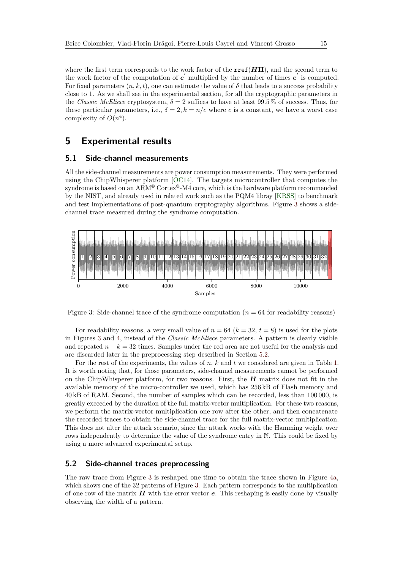where the first term corresponds to the work factor of the  $\text{rref}(H\Pi)$ , and the second term to the work factor of the computation of  $e'$  multiplied by the number of times  $e'$  is computed. For fixed parameters  $(n, k, t)$ , one can estimate the value of  $\delta$  that leads to a success probability close to 1. As we shall see in the experimental section, for all the cryptographic parameters in the *Classic McEliece* cryptosystem,  $\delta = 2$  suffices to have at least 99.5 % of success. Thus, for these particular parameters, i.e.,  $\delta = 2, k = n/c$  where *c* is a constant, we have a worst case complexity of  $O(n^4)$ .

## <span id="page-14-0"></span>**5 Experimental results**

## **5.1 Side-channel measurements**

All the side-channel measurements are power consumption measurements. They were performed using the ChipWhisperer platform [\[OC14\]](#page-22-10). The targets microcontroller that computes the syndrome is based on an ARM<sup>®</sup> Cortex<sup>®</sup>-M4 core, which is the hardware platform recommended by the NIST, and already used in related work such as the PQM4 libray [\[KRSS\]](#page-22-11) to benchmark and test implementations of post-quantum cryptography algorithms. Figure [3](#page-14-1) shows a sidechannel trace measured during the syndrome computation.

<span id="page-14-1"></span>

Figure 3: Side-channel trace of the syndrome computation  $(n = 64$  for readability reasons)

For readability reasons, a very small value of  $n = 64$  ( $k = 32$ ,  $t = 8$ ) is used for the plots in Figures [3](#page-14-1) and [4,](#page-15-0) instead of the *Classic McEliece* parameters. A pattern is clearly visible and repeated  $n - k = 32$  times. Samples under the red area are not useful for the analysis and are discarded later in the preprocessing step described in Section [5.2.](#page-14-2)

For the rest of the experiments, the values of *n*, *k* and *t* we considered are given in Table [1.](#page-4-0) It is worth noting that, for those parameters, side-channel measurements cannot be performed on the ChipWhisperer platform, for two reasons. First, the *H* matrix does not fit in the available memory of the micro-controller we used, which has 256 kB of Flash memory and 40 kB of RAM. Second, the number of samples which can be recorded, less than 100 000, is greatly exceeded by the duration of the full matrix-vector multiplication. For these two reasons, we perform the matrix-vector multiplication one row after the other, and then concatenate the recorded traces to obtain the side-channel trace for the full matrix-vector multiplication. This does not alter the attack scenario, since the attack works with the Hamming weight over rows independently to determine the value of the syndrome entry in  $\mathbb N$ . This could be fixed by using a more advanced experimental setup.

## <span id="page-14-2"></span>**5.2 Side-channel traces preprocessing**

The raw trace from Figure [3](#page-14-1) is reshaped one time to obtain the trace shown in Figure [4a,](#page-15-1) which shows one of the 32 patterns of Figure [3.](#page-14-1) Each pattern corresponds to the multiplication of one row of the matrix *H* with the error vector *e*. This reshaping is easily done by visually observing the width of a pattern.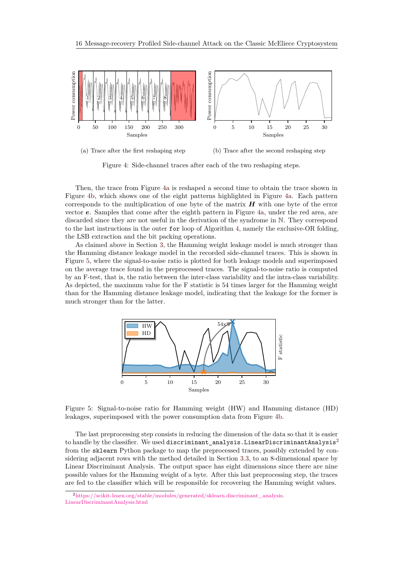<span id="page-15-0"></span>

<span id="page-15-1"></span>

<span id="page-15-2"></span>Figure 4: Side-channel traces after each of the two reshaping steps.

Then, the trace from Figure [4a](#page-15-1) is reshaped a second time to obtain the trace shown in Figure [4b,](#page-15-2) which shows one of the eight patterns highlighted in Figure [4a.](#page-15-1) Each pattern corresponds to the multiplication of one byte of the matrix *H* with one byte of the error vector *e*. Samples that come after the eighth pattern in Figure [4a,](#page-15-1) under the red area, are discarded since they are not useful in the derivation of the syndrome in N. They correspond to the last instructions in the outer for loop of Algorithm [4,](#page-4-1) namely the exclusive-OR folding, the LSB extraction and the bit packing operations.

As claimed above in Section [3,](#page-5-0) the Hamming weight leakage model is much stronger than the Hamming distance leakage model in the recorded side-channel traces. This is shown in Figure [5,](#page-15-3) where the signal-to-noise ratio is plotted for both leakage models and superimposed on the average trace found in the preprocessed traces. The signal-to-noise ratio is computed by an F-test, that is, the ratio between the inter-class variability and the intra-class variability. As depicted, the maximum value for the F statistic is 54 times larger for the Hamming weight than for the Hamming distance leakage model, indicating that the leakage for the former is much stronger than for the latter.

<span id="page-15-3"></span>

Figure 5: Signal-to-noise ratio for Hamming weight (HW) and Hamming distance (HD) leakages, superimposed with the power consumption data from Figure [4b.](#page-15-2)

The last preprocessing step consists in reducing the dimension of the data so that it is easier to handle by the classifier. We used discriminant analysis.LinearDiscriminantAnalysis<sup>[2](#page-15-4)</sup> from the sklearn Python package to map the preprocessed traces, possibly extended by considering adjacent rows with the method detailed in Section [3.3,](#page-8-5) to an 8-dimensional space by Linear Discriminant Analysis. The output space has eight dimensions since there are nine possible values for the Hamming weight of a byte. After this last preprocessing step, the traces are fed to the classifier which will be responsible for recovering the Hamming weight values.

<span id="page-15-4"></span><sup>2</sup>[https://scikit-learn.org/stable/modules/generated/sklearn.discriminant\\_analysis.](https://scikit-learn.org/stable/modules/generated/sklearn.discriminant_analysis.LinearDiscriminantAnalysis.html) [LinearDiscriminantAnalysis.html](https://scikit-learn.org/stable/modules/generated/sklearn.discriminant_analysis.LinearDiscriminantAnalysis.html)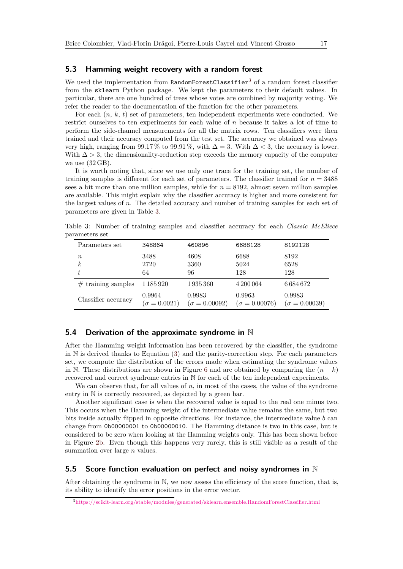### <span id="page-16-0"></span>**5.3 Hamming weight recovery with a random forest**

We used the implementation from  $RandomForestClassifier<sup>3</sup>$  $RandomForestClassifier<sup>3</sup>$  $RandomForestClassifier<sup>3</sup>$  of a random forest classifier from the sklearn Python package. We kept the parameters to their default values. In particular, there are one hundred of trees whose votes are combined by majority voting. We refer the reader to the documentation of the function for the other parameters.

For each (*n*, *k*, *t*) set of parameters, ten independent experiments were conducted. We restrict ourselves to ten experiments for each value of *n* because it takes a lot of time to perform the side-channel measurements for all the matrix rows. Ten classifiers were then trained and their accuracy computed from the test set. The accuracy we obtained was always very high, ranging from 99.17% to 99.91%, with  $\Delta = 3$ . With  $\Delta < 3$ , the accuracy is lower. With  $\Delta > 3$ , the dimensionality-reduction step exceeds the memory capacity of the computer we use  $(32 \text{ GB})$ .

It is worth noting that, since we use only one trace for the training set, the number of training samples is different for each set of parameters. The classifier trained for  $n = 3488$ sees a bit more than one million samples, while for  $n = 8192$ , almost seven million samples are available. This might explain why the classifier accuracy is higher and more consistent for the largest values of *n*. The detailed accuracy and number of training samples for each set of parameters are given in Table [3.](#page-16-2)

<span id="page-16-2"></span>Table 3: Number of training samples and classifier accuracy for each *Classic McEliece* parameters set

| Parameters set               | 348864                        | 460896                         | 6688128                        | 8192128                        |
|------------------------------|-------------------------------|--------------------------------|--------------------------------|--------------------------------|
| $\boldsymbol{n}$<br>$\kappa$ | 3488<br>2720<br>64            | 4608<br>3360<br>96             | 6688<br>5024<br>128            | 8192<br>6528<br>128            |
| $#$ training samples         | 1 185 920                     | 1935360                        | 4 200 064                      | 6684672                        |
| Classifier accuracy          | 0.9964<br>$(\sigma = 0.0021)$ | 0.9983<br>$(\sigma = 0.00092)$ | 0.9963<br>$(\sigma = 0.00076)$ | 0.9983<br>$(\sigma = 0.00039)$ |

## **5.4 Derivation of the approximate syndrome in** N

After the Hamming weight information has been recovered by the classifier, the syndrome in  $\mathbb N$  is derived thanks to Equation [\(3\)](#page-8-2) and the parity-correction step. For each parameters set, we compute the distribution of the errors made when estimating the syndrome values in N. These distributions are shown in Figure [6](#page-17-0) and are obtained by comparing the  $(n - k)$ recovered and correct syndrome entries in N for each of the ten independent experiments.

We can observe that, for all values of *n*, in most of the cases, the value of the syndrome entry in N is correctly recovered, as depicted by a green bar.

Another significant case is when the recovered value is equal to the real one minus two. This occurs when the Hamming weight of the intermediate value remains the same, but two bits inside actually flipped in opposite directions. For instance, the intermediate value *b* can change from 0b00000001 to 0b00000010. The Hamming distance is two in this case, but is considered to be zero when looking at the Hamming weights only. This has been shown before in Figure [2b.](#page-9-1) Even though this happens very rarely, this is still visible as a result of the summation over large *n* values.

## **5.5 Score function evaluation on perfect and noisy syndromes in** N

After obtaining the syndrome in N, we now assess the efficiency of the score function, that is, its ability to identify the error positions in the error vector.

<span id="page-16-1"></span><sup>3</sup><https://scikit-learn.org/stable/modules/generated/sklearn.ensemble.RandomForestClassifier.html>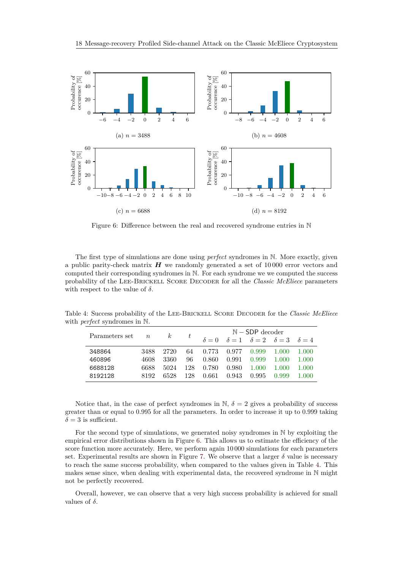<span id="page-17-0"></span>

Figure 6: Difference between the real and recovered syndrome entries in N

The first type of simulations are done using *perfect* syndromes in N. More exactly, given a public parity-check matrix *H* we randomly generated a set of 10 000 error vectors and computed their corresponding syndromes in N. For each syndrome we we computed the success probability of the Lee-Brickell Score Decoder for all the *Classic McEliece* parameters with respect to the value of  $\delta$ .

|                |                  |          |     |       |             | $N - SDP$ decoder                                                |        |       |
|----------------|------------------|----------|-----|-------|-------------|------------------------------------------------------------------|--------|-------|
| Parameters set | $\boldsymbol{n}$ | $\kappa$ | t   |       |             | $\delta = 0$ $\delta = 1$ $\delta = 2$ $\delta = 3$ $\delta = 4$ |        |       |
| 348864         | 3488             | 2720     | 64  |       | 0.773 0.977 | 0.999                                                            | -1.000 | 1.000 |
| 460896         | 4608             | 3360     | 96  | 0.860 | 0.991       | 0.999                                                            | 1.000  | 1.000 |
| 6688128        | 6688             | 5024     | 128 | 0.780 | 0.980       | 1.000                                                            | 1.000  | 1.000 |
| 8192128        | 8192             | 6528     | 128 | 0.661 | 0.943       | 0.995                                                            | 0.999  | 1.000 |

<span id="page-17-1"></span>Table 4: Success probability of the Lee-Brickell Score Decoder for the *Classic McEliece* with *perfect* syndromes in N.

Notice that, in the case of perfect syndromes in N,  $\delta = 2$  gives a probability of success greater than or equal to 0*.*995 for all the parameters. In order to increase it up to 0*.*999 taking  $\delta = 3$  is sufficient.

For the second type of simulations, we generated noisy syndromes in N by exploiting the empirical error distributions shown in Figure [6.](#page-17-0) This allows us to estimate the efficiency of the score function more accurately. Here, we perform again  $10\,000$  simulations for each parameters set. Experimental results are shown in Figure [7.](#page-18-1) We observe that a larger  $\delta$  value is necessary to reach the same success probability, when compared to the values given in Table [4.](#page-17-1) This makes sense since, when dealing with experimental data, the recovered syndrome in N might not be perfectly recovered.

Overall, however, we can observe that a very high success probability is achieved for small values of  $\delta$ .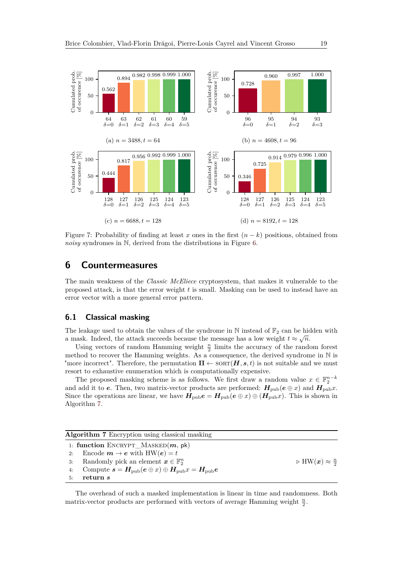<span id="page-18-1"></span>

Figure 7: Probability of finding at least *x* ones in the first (*n* − *k*) positions, obtained from *noisy* syndromes in N, derived from the distributions in Figure [6.](#page-17-0)

## <span id="page-18-0"></span>**6 Countermeasures**

The main weakness of the *Classic McEliece* cryptosystem, that makes it vulnerable to the proposed attack, is that the error weight *t* is small. Masking can be used to instead have an error vector with a more general error pattern.

### **6.1 Classical masking**

The leakage used to obtain the values of the syndrome in N instead of  $\mathbb{F}_2$  can be hidden with a mask. Indeed, the attack succeeds because the message has a low weight  $t \approx \sqrt{n}$ .

Using vectors of random Hamming weight  $\frac{n}{2}$  limits the accuracy of the random forest method to recover the Hamming weights. As a consequence, the derived syndrome in N is "more incorrect". Therefore, the permutation  $\Pi \leftarrow \text{SORT}(\boldsymbol{H}, s, t)$  is not suitable and we must resort to exhaustive enumeration which is computationally expensive.

The proposed masking scheme is as follows. We first draw a random value  $x \in \mathbb{F}_2^{n-k}$ and add it to *e*. Then, two matrix-vector products are performed:  $H_{\text{pub}}(e \oplus x)$  and  $H_{\text{pub}}x$ . Since the operations are linear, we have  $H_{\text{pub}}e = H_{\text{pub}}(e \oplus x) \oplus (H_{\text{pub}}x)$ . This is shown in Algorithm [7.](#page-18-2)

<span id="page-18-2"></span>

|    | Algorithm 7 Encryption using classical masking                                    |                                               |
|----|-----------------------------------------------------------------------------------|-----------------------------------------------|
|    | 1: function ENCRYPT_MASKED $(m, pk)$                                              |                                               |
| 2: | Encode $m \to e$ with $HW(e) = t$                                                 |                                               |
| 3. | Randomly pick an element $\boldsymbol{x} \in \mathbb{F}_2^n$                      | $\triangleright$ HW $(x) \approx \frac{n}{2}$ |
| 4. | Compute $s = H_{\text{pub}}(e \oplus x) \oplus H_{\text{pub}}x = H_{\text{pub}}e$ |                                               |
| 5: | return s                                                                          |                                               |

The overhead of such a masked implementation is linear in time and randomness. Both matrix-vector products are performed with vectors of average Hamming weight  $\frac{n}{2}$ .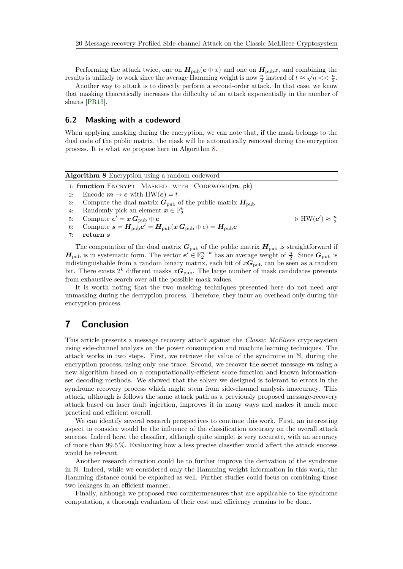Performing the attack twice, one on  $H_{\text{pub}}(e \oplus x)$  and one on  $H_{\text{pub}}x$ , and combining the results is unlikely to work since the average Hamming weight is now  $\frac{n}{2}$  instead of  $t \approx \sqrt{n} << \frac{n}{2}$ .

Another way to attack is to directly perform a second-order attack. In that case, we know that masking theoretically increases the difficulty of an attack exponentially in the number of shares [\[PR13\]](#page-22-12).

### **6.2 Masking with a codeword**

When applying masking during the encryption, we can note that, if the mask belongs to the dual code of the public matrix, the mask will be automatically removed during the encryption process. It is what we propose here in Algorithm [8.](#page-19-0)

<span id="page-19-0"></span>

|    | Algorithm 8 Encryption using a random codeword                                               |                                                |
|----|----------------------------------------------------------------------------------------------|------------------------------------------------|
|    | 1: function ENCRYPT_MASKED_WITH_CODEWORD $(m, pk)$                                           |                                                |
| 2: | Encode $m \to e$ with $HW(e) = t$                                                            |                                                |
| 3: | Compute the dual matrix $G_{\text{pub}}$ of the public matrix $H_{\text{pub}}$               |                                                |
| 4: | Randomly pick an element $\boldsymbol{x} \in \mathbb{F}_2^k$                                 |                                                |
| 5: | Compute $e' = x \, G_{\rm pub} \oplus e$                                                     | $\triangleright$ HW $(e') \approx \frac{n}{2}$ |
| 6: | Compute $s = H_{\text{pub}}e' = H_{\text{pub}}(x G_{\text{pub}} \oplus e) = H_{\text{pub}}e$ |                                                |
| 7: | return s                                                                                     |                                                |
|    |                                                                                              |                                                |

The computation of the dual matrix  $G_{\text{pub}}$  of the public matrix  $H_{\text{pub}}$  is straightforward if  $H_{\text{pub}}$  is in systematic form. The vector  $e' \in \mathbb{F}_2^{n-k}$  has an average weight of  $\frac{n}{2}$ . Since  $G_{\text{pub}}$  is indistinguishable from a random binary matrix, each bit of  $xG_{\text{pub}}$  can be seen as a random bit. There exists  $2^k$  different masks  $xG_{\text{pub}}$ . The large number of mask candidates prevents from exhaustive search over all the possible mask values.

It is worth noting that the two masking techniques presented here do not need any unmasking during the decryption process. Therefore, they incur an overhead only during the encryption process.

## **7 Conclusion**

This article presents a message recovery attack against the *Classic McEliece* cryptosystem using side-channel analysis on the power consumption and machine learning techniques. The attack works in two steps. First, we retrieve the value of the syndrome in N, during the encryption process, using only *one* trace. Second, we recover the secret message *m* using a new algorithm based on a computationally-efficient score function and known informationset decoding methods. We showed that the solver we designed is tolerant to errors in the syndrome recovery process which might stem from side-channel analysis inaccuracy. This attack, although is follows the same attack path as a previously proposed message-recovery attack based on laser fault injection, improves it in many ways and makes it much more practical and efficient overall.

We can identify several research perspectives to continue this work. First, an interesting aspect to consider would be the influence of the classification accuracy on the overall attack success. Indeed here, the classifier, although quite simple, is very accurate, with an accuracy of more than 99*.*5 %. Evaluating how a less precise classifier would affect the attack success would be relevant.

Another research direction could be to further improve the derivation of the syndrome in N. Indeed, while we considered only the Hamming weight information in this work, the Hamming distance could be exploited as well. Further studies could focus on combining those two leakages in an efficient manner.

Finally, although we proposed two countermeasures that are applicable to the syndrome computation, a thorough evaluation of their cost and efficiency remains to be done.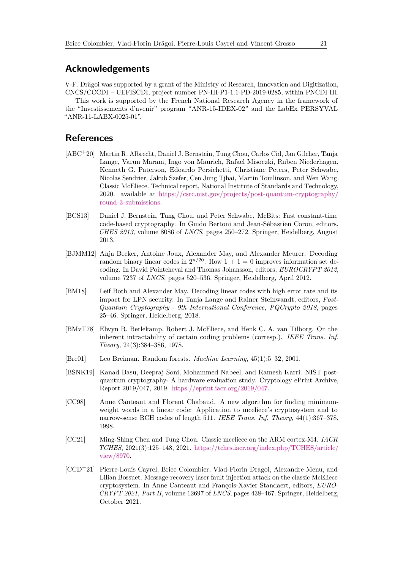## **Acknowledgements**

V-F. Drăgoi was supported by a grant of the Ministry of Research, Innovation and Digitization, CNCS/CCCDI – UEFISCDI, project number PN-III-P1-1.1-PD-2019-0285, within PNCDI III.

This work is supported by the French National Research Agency in the framework of the "Investissements d'avenir" program "ANR-15-IDEX-02" and the LabEx PERSYVAL "ANR-11-LABX-0025-01".

## **References**

- <span id="page-20-0"></span>[ABC+20] Martin R. Albrecht, Daniel J. Bernstein, Tung Chou, Carlos Cid, Jan Gilcher, Tanja Lange, Varun Maram, Ingo von Maurich, Rafael Misoczki, Ruben Niederhagen, Kenneth G. Paterson, Edoardo Persichetti, Christiane Peters, Peter Schwabe, Nicolas Sendrier, Jakub Szefer, Cen Jung Tjhai, Martin Tomlinson, and Wen Wang. Classic McEliece. Technical report, National Institute of Standards and Technology, 2020. available at [https://csrc.nist.gov/projects/post-quantum-cryptography/](https://csrc.nist.gov/projects/post-quantum-cryptography/round-3-submissions) [round-3-submissions.](https://csrc.nist.gov/projects/post-quantum-cryptography/round-3-submissions)
- <span id="page-20-8"></span>[BCS13] Daniel J. Bernstein, Tung Chou, and Peter Schwabe. McBits: Fast constant-time code-based cryptography. In Guido Bertoni and Jean-Sébastien Coron, editors, *CHES 2013*, volume 8086 of *LNCS*, pages 250–272. Springer, Heidelberg, August 2013.
- <span id="page-20-1"></span>[BJMM12] Anja Becker, Antoine Joux, Alexander May, and Alexander Meurer. Decoding random binary linear codes in  $2^{n/20}$ : How  $1 + 1 = 0$  improves information set decoding. In David Pointcheval and Thomas Johansson, editors, *EUROCRYPT 2012*, volume 7237 of *LNCS*, pages 520–536. Springer, Heidelberg, April 2012.
- <span id="page-20-2"></span>[BM18] Leif Both and Alexander May. Decoding linear codes with high error rate and its impact for LPN security. In Tanja Lange and Rainer Steinwandt, editors, *Post-Quantum Cryptography - 9th International Conference, PQCrypto 2018*, pages 25–46. Springer, Heidelberg, 2018.
- <span id="page-20-6"></span>[BMvT78] Elwyn R. Berlekamp, Robert J. McEliece, and Henk C. A. van Tilborg. On the inherent intractability of certain coding problems (corresp.). *IEEE Trans. Inf. Theory*, 24(3):384–386, 1978.
- <span id="page-20-9"></span>[Bre01] Leo Breiman. Random forests. *Machine Learning*, 45(1):5–32, 2001.
- <span id="page-20-3"></span>[BSNK19] Kanad Basu, Deepraj Soni, Mohammed Nabeel, and Ramesh Karri. NIST postquantum cryptography- A hardware evaluation study. Cryptology ePrint Archive, Report 2019/047, 2019. [https://eprint.iacr.org/2019/047.](https://eprint.iacr.org/2019/047)
- <span id="page-20-7"></span>[CC98] Anne Canteaut and Florent Chabaud. A new algorithm for finding minimumweight words in a linear code: Application to mceliece's cryptosystem and to narrow-sense BCH codes of length 511. *IEEE Trans. Inf. Theory*, 44(1):367–378, 1998.
- <span id="page-20-4"></span>[CC21] Ming-Shing Chen and Tung Chou. Classic mceliece on the ARM cortex-M4. *IACR TCHES*, 2021(3):125–148, 2021. [https://tches.iacr.org/index.php/TCHES/article/](https://tches.iacr.org/index.php/TCHES/article/view/8970) [view/8970.](https://tches.iacr.org/index.php/TCHES/article/view/8970)
- <span id="page-20-5"></span>[CCD<sup>+</sup>21] Pierre-Louis Cayrel, Brice Colombier, Vlad-Florin Dragoi, Alexandre Menu, and Lilian Bossuet. Message-recovery laser fault injection attack on the classic McEliece cryptosystem. In Anne Canteaut and François-Xavier Standaert, editors, *EURO-CRYPT 2021, Part II*, volume 12697 of *LNCS*, pages 438–467. Springer, Heidelberg, October 2021.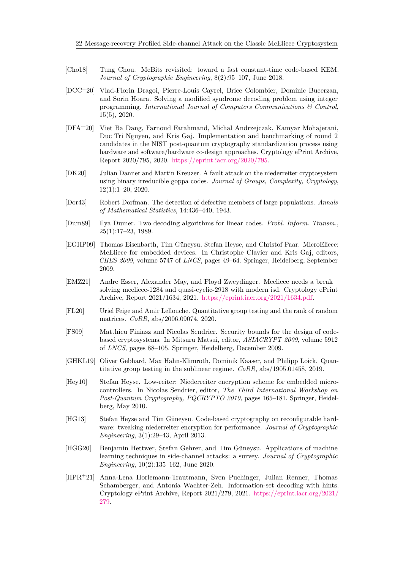- <span id="page-21-13"></span>[Cho18] Tung Chou. McBits revisited: toward a fast constant-time code-based KEM. *Journal of Cryptographic Engineering*, 8(2):95–107, June 2018.
- <span id="page-21-6"></span>[DCC+20] Vlad-Florin Dragoi, Pierre-Louis Cayrel, Brice Colombier, Dominic Bucerzan, and Sorin Hoara. Solving a modified syndrome decoding problem using integer programming. *International Journal of Computers Communications & Control*, 15(5), 2020.
- <span id="page-21-3"></span>[DFA+20] Viet Ba Dang, Farnoud Farahmand, Michal Andrzejczak, Kamyar Mohajerani, Duc Tri Nguyen, and Kris Gaj. Implementation and benchmarking of round 2 candidates in the NIST post-quantum cryptography standardization process using hardware and software/hardware co-design approaches. Cryptology ePrint Archive, Report 2020/795, 2020. [https://eprint.iacr.org/2020/795.](https://eprint.iacr.org/2020/795)
- <span id="page-21-4"></span>[DK20] Julian Danner and Martin Kreuzer. A fault attack on the niederreiter cryptosystem using binary irreducible goppa codes. *Journal of Groups, Complexity, Cryptology*, 12(1):1–20, 2020.
- <span id="page-21-7"></span>[Dor43] Robert Dorfman. The detection of defective members of large populations. *Annals of Mathematical Statistics*, 14:436–440, 1943.
- <span id="page-21-10"></span>[Dum89] Ilya Dumer. Two decoding algorithms for linear codes. *Probl. Inform. Transm.*, 25(1):17–23, 1989.
- <span id="page-21-12"></span>[EGHP09] Thomas Eisenbarth, Tim Güneysu, Stefan Heyse, and Christof Paar. MicroEliece: McEliece for embedded devices. In Christophe Clavier and Kris Gaj, editors, *CHES 2009*, volume 5747 of *LNCS*, pages 49–64. Springer, Heidelberg, September 2009.
- <span id="page-21-0"></span>[EMZ21] Andre Esser, Alexander May, and Floyd Zweydinger. Mceliece needs a break – solving mceliece-1284 and quasi-cyclic-2918 with modern isd. Cryptology ePrint Archive, Report 2021/1634, 2021. [https://eprint.iacr.org/2021/1634.pdf.](https://eprint.iacr.org/2021/1634.pdf)
- <span id="page-21-9"></span>[FL20] Uriel Feige and Amir Lellouche. Quantitative group testing and the rank of random matrices. *CoRR*, abs/2006.09074, 2020.
- <span id="page-21-11"></span>[FS09] Matthieu Finiasz and Nicolas Sendrier. Security bounds for the design of codebased cryptosystems. In Mitsuru Matsui, editor, *ASIACRYPT 2009*, volume 5912 of *LNCS*, pages 88–105. Springer, Heidelberg, December 2009.
- <span id="page-21-8"></span>[GHKL19] Oliver Gebhard, Max Hahn-Klimroth, Dominik Kaaser, and Philipp Loick. Quantitative group testing in the sublinear regime. *CoRR*, abs/1905.01458, 2019.
- <span id="page-21-1"></span>[Hey10] Stefan Heyse. Low-reiter: Niederreiter encryption scheme for embedded microcontrollers. In Nicolas Sendrier, editor, *The Third International Workshop on Post-Quantum Cryptography, PQCRYPTO 2010*, pages 165–181. Springer, Heidelberg, May 2010.
- <span id="page-21-2"></span>[HG13] Stefan Heyse and Tim Güneysu. Code-based cryptography on reconfigurable hardware: tweaking niederreiter encryption for performance. *Journal of Cryptographic Engineering*, 3(1):29–43, April 2013.
- <span id="page-21-14"></span>[HGG20] Benjamin Hettwer, Stefan Gehrer, and Tim Güneysu. Applications of machine learning techniques in side-channel attacks: a survey. *Journal of Cryptographic Engineering*, 10(2):135–162, June 2020.
- <span id="page-21-5"></span>[HPR<sup>+</sup>21] Anna-Lena Horlemann-Trautmann, Sven Puchinger, Julian Renner, Thomas Schamberger, and Antonia Wachter-Zeh. Information-set decoding with hints. Cryptology ePrint Archive, Report 2021/279, 2021. [https://eprint.iacr.org/2021/](https://eprint.iacr.org/2021/279) [279.](https://eprint.iacr.org/2021/279)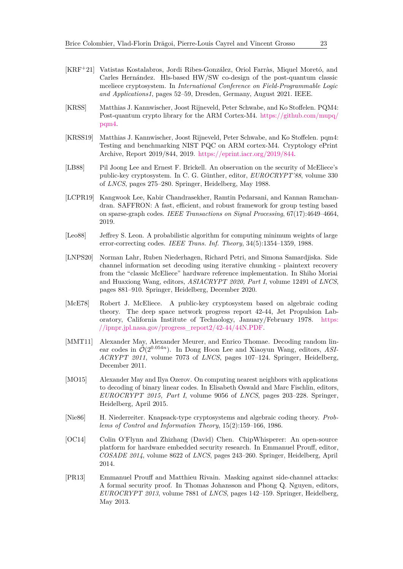- <span id="page-22-4"></span>[KRF+21] Vatistas Kostalabros, Jordi Ribes-González, Oriol Farràs, Miquel Moretó, and Carles Hernández. Hls-based HW/SW co-design of the post-quantum classic mceliece cryptosystem. In *International Conference on Field-Programmable Logic and Applications1*, pages 52–59, Dresden, Germany, August 2021. IEEE.
- <span id="page-22-11"></span>[KRSS] Matthias J. Kannwischer, Joost Rijneveld, Peter Schwabe, and Ko Stoffelen. PQM4: Post-quantum crypto library for the ARM Cortex-M4. [https://github.com/mupq/](https://github.com/mupq/pqm4) [pqm4.](https://github.com/mupq/pqm4)
- <span id="page-22-9"></span>[KRSS19] Matthias J. Kannwischer, Joost Rijneveld, Peter Schwabe, and Ko Stoffelen. pqm4: Testing and benchmarking NIST PQC on ARM cortex-M4. Cryptology ePrint Archive, Report 2019/844, 2019. [https://eprint.iacr.org/2019/844.](https://eprint.iacr.org/2019/844)
- <span id="page-22-7"></span>[LB88] Pil Joong Lee and Ernest F. Brickell. An observation on the security of McEliece's public-key cryptosystem. In C. G. Günther, editor, *EUROCRYPT'88*, volume 330 of *LNCS*, pages 275–280. Springer, Heidelberg, May 1988.
- <span id="page-22-6"></span>[LCPR19] Kangwook Lee, Kabir Chandrasekher, Ramtin Pedarsani, and Kannan Ramchandran. SAFFRON: A fast, efficient, and robust framework for group testing based on sparse-graph codes. *IEEE Transactions on Signal Processing*, 67(17):4649–4664, 2019.
- <span id="page-22-8"></span>[Leo88] Jeffrey S. Leon. A probabilistic algorithm for computing minimum weights of large error-correcting codes. *IEEE Trans. Inf. Theory*, 34(5):1354–1359, 1988.
- <span id="page-22-5"></span>[LNPS20] Norman Lahr, Ruben Niederhagen, Richard Petri, and Simona Samardjiska. Side channel information set decoding using iterative chunking - plaintext recovery from the "classic McEliece" hardware reference implementation. In Shiho Moriai and Huaxiong Wang, editors, *ASIACRYPT 2020, Part I*, volume 12491 of *LNCS*, pages 881–910. Springer, Heidelberg, December 2020.
- <span id="page-22-1"></span>[McE78] Robert J. McEliece. A public-key cryptosystem based on algebraic coding theory. The deep space network progress report 42-44, Jet Propulsion Laboratory, California Institute of Technology, January/February 1978. [https:](https://ipnpr.jpl.nasa.gov/progress_report2/42-44/44N.PDF) [//ipnpr.jpl.nasa.gov/progress\\_report2/42-44/44N.PDF.](https://ipnpr.jpl.nasa.gov/progress_report2/42-44/44N.PDF)
- <span id="page-22-2"></span>[MMT11] Alexander May, Alexander Meurer, and Enrico Thomae. Decoding random linear codes in  $\tilde{\mathcal{O}}(2^{0.054n})$ . In Dong Hoon Lee and Xiaoyun Wang, editors, *ASI*-*ACRYPT 2011*, volume 7073 of *LNCS*, pages 107–124. Springer, Heidelberg, December 2011.
- <span id="page-22-3"></span>[MO15] Alexander May and Ilya Ozerov. On computing nearest neighbors with applications to decoding of binary linear codes. In Elisabeth Oswald and Marc Fischlin, editors, *EUROCRYPT 2015, Part I*, volume 9056 of *LNCS*, pages 203–228. Springer, Heidelberg, April 2015.
- <span id="page-22-0"></span>[Nie86] H. Niederreiter. Knapsack-type cryptosystems and algebraic coding theory. *Problems of Control and Information Theory*, 15(2):159–166, 1986.
- <span id="page-22-10"></span>[OC14] Colin O'Flynn and Zhizhang (David) Chen. ChipWhisperer: An open-source platform for hardware embedded security research. In Emmanuel Prouff, editor, *COSADE 2014*, volume 8622 of *LNCS*, pages 243–260. Springer, Heidelberg, April 2014.
- <span id="page-22-12"></span>[PR13] Emmanuel Prouff and Matthieu Rivain. Masking against side-channel attacks: A formal security proof. In Thomas Johansson and Phong Q. Nguyen, editors, *EUROCRYPT 2013*, volume 7881 of *LNCS*, pages 142–159. Springer, Heidelberg, May 2013.